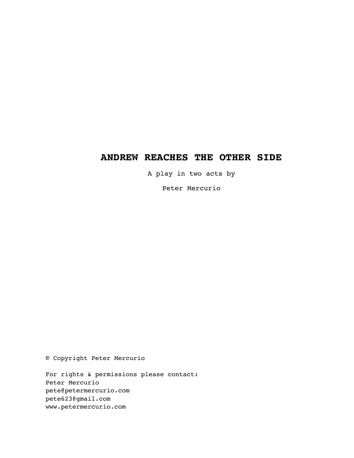# **ANDREW REACHES THE OTHER SIDE**

A play in two acts by

Peter Mercurio

© Copyright Peter Mercurio

For rights & permissions please contact: Peter Mercurio pete@petermercurio.com pete623@gmail.com www.petermercurio.com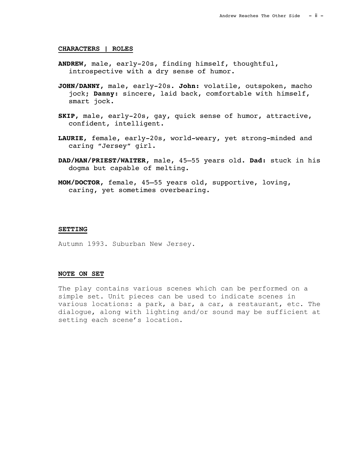### **CHARACTERS | ROLES**

- **ANDREW,** male, early-20s, finding himself, thoughtful, introspective with a dry sense of humor.
- **JOHN/DANNY,** male, early-20s. **John:** volatile, outspoken, macho jock; **Danny:** sincere, laid back, comfortable with himself, smart jock.
- **SKIP,** male, early-20s, gay, quick sense of humor, attractive, confident, intelligent.
- **LAURIE,** female, early-20s, world-weary, yet strong-minded and caring "Jersey" girl.
- **DAD/MAN/PRIEST/WAITER,** male, 45–55 years old. **Dad:** stuck in his dogma but capable of melting.
- **MOM/DOCTOR,** female, 45–55 years old, supportive, loving, caring, yet sometimes overbearing.

#### **SETTING**

Autumn 1993. Suburban New Jersey.

### **NOTE ON SET**

The play contains various scenes which can be performed on a simple set. Unit pieces can be used to indicate scenes in various locations: a park, a bar, a car, a restaurant, etc. The dialogue, along with lighting and/or sound may be sufficient at setting each scene's location.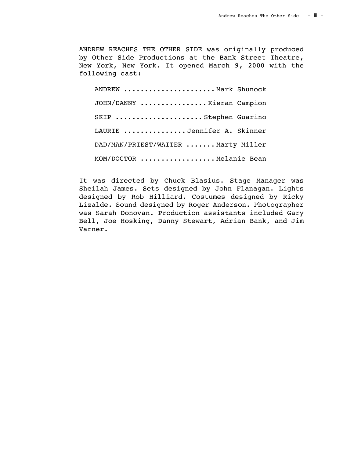ANDREW REACHES THE OTHER SIDE was originally produced by Other Side Productions at the Bank Street Theatre, New York, New York. It opened March 9, 2000 with the following cast:

ANDREW ..................... Mark Shunock JOHN/DANNY ................ Kieran Campion SKIP ......................Stephen Guarino LAURIE ............... Jennifer A. Skinner DAD/MAN/PRIEST/WAITER ....... Marty Miller MOM/DOCTOR .................. Melanie Bean

It was directed by Chuck Blasius. Stage Manager was Sheilah James. Sets designed by John Flanagan. Lights designed by Rob Hilliard. Costumes designed by Ricky Lizalde. Sound designed by Roger Anderson. Photographer was Sarah Donovan. Production assistants included Gary Bell, Joe Hosking, Danny Stewart, Adrian Bank, and Jim Varner.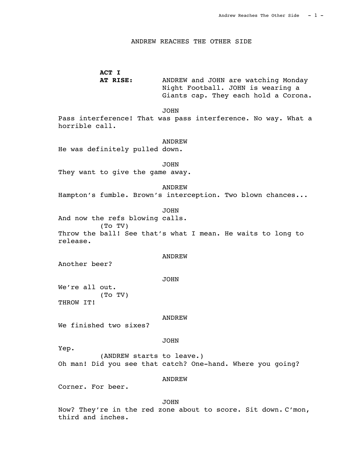### ANDREW REACHES THE OTHER SIDE

# **ACT I**

**AT RISE:** ANDREW and JOHN are watching Monday Night Football. JOHN is wearing a Giants cap. They each hold a Corona.

#### JOHN

Pass interference! That was pass interference. No way. What a horrible call.

#### ANDREW

He was definitely pulled down.

 JOHN They want to give the game away.

#### ANDREW

Hampton's fumble. Brown's interception. Two blown chances...

# JOHN

And now the refs blowing calls. (To TV) Throw the ball! See that's what I mean. He waits to long to release.

#### ANDREW

Another beer?

#### JOHN

We're all out. (To TV) THROW IT!

#### ANDREW

We finished two sixes?

#### JOHN

Yep.

(ANDREW starts to leave.) Oh man! Did you see that catch? One-hand. Where you going?

### ANDREW

Corner. For beer.

### JOHN

Now? They're in the red zone about to score. Sit down. C'mon, third and inches.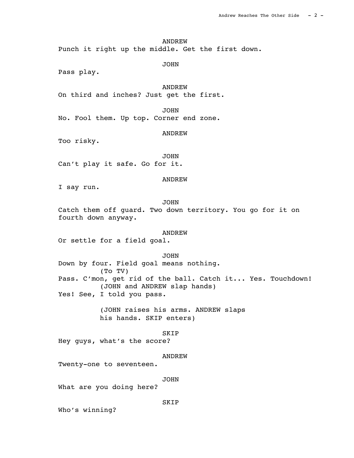Punch it right up the middle. Get the first down.

JOHN

Pass play.

# ANDREW

On third and inches? Just get the first.

### **JOHN**

No. Fool them. Up top. Corner end zone.

## ANDREW

Too risky.

 JOHN Can't play it safe. Go for it.

#### ANDREW

I say run.

# JOHN

Catch them off guard. Two down territory. You go for it on fourth down anyway.

### ANDREW

Or settle for a field goal.

JOHN

Down by four. Field goal means nothing. (To TV) Pass. C'mon, get rid of the ball. Catch it... Yes. Touchdown! (JOHN and ANDREW slap hands) Yes! See, I told you pass.

> (JOHN raises his arms. ANDREW slaps his hands. SKIP enters)

### SKIP

Hey guys, what's the score?

### ANDREW

Twenty-one to seventeen.

#### JOHN

**SKIP** 

What are you doing here?

Who's winning?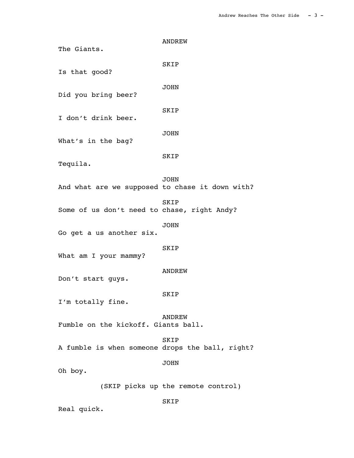ANDREW The Giants. SKIP Is that good? JOHN Did you bring beer? SKIP I don't drink beer. JOHN What's in the bag? SKIP Tequila. JOHN And what are we supposed to chase it down with? SKIP Some of us don't need to chase, right Andy? JOHN Go get a us another six. SKIP What am I your mammy? ANDREW Don't start guys. SKIP I'm totally fine. ANDREW Fumble on the kickoff. Giants ball. SKIP A fumble is when someone drops the ball, right? JOHN Oh boy. (SKIP picks up the remote control)

SKIP

Real quick.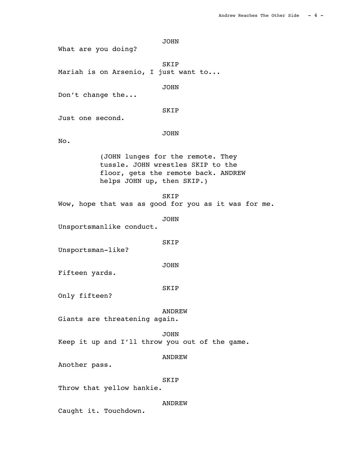JOHN What are you doing? SKIP Mariah is on Arsenio, I just want to... JOHN Don't change the... SKIP Just one second. JOHN No. (JOHN lunges for the remote. They tussle. JOHN wrestles SKIP to the floor, gets the remote back. ANDREW helps JOHN up, then SKIP.) SKIP Wow, hope that was as good for you as it was for me. JOHN Unsportsmanlike conduct. SKIP Unsportsman-like? JOHN Fifteen yards. SKIP Only fifteen? ANDREW Giants are threatening again. JOHN Keep it up and I'll throw you out of the game. ANDREW Another pass. SKIP Throw that yellow hankie. ANDREW

Caught it. Touchdown.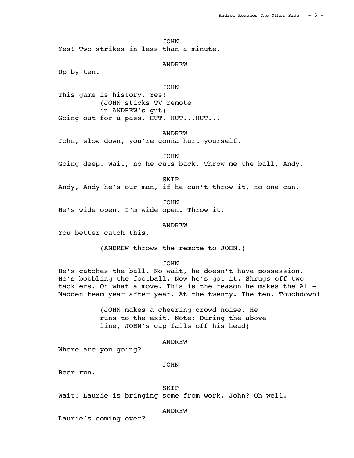JOHN

Yes! Two strikes in less than a minute.

#### ANDREW

Up by ten.

# JOHN

This game is history. Yes! (JOHN sticks TV remote in ANDREW's gut) Going out for a pass. HUT, HUT...HUT...

ANDREW

John, slow down, you're gonna hurt yourself.

JOHN

Going deep. Wait, no he cuts back. Throw me the ball, Andy.

SKIP

Andy, Andy he's our man, if he can't throw it, no one can.

JOHN

He's wide open. I'm wide open. Throw it.

### ANDREW

You better catch this.

(ANDREW throws the remote to JOHN.)

JOHN

He's catches the ball. No wait, he doesn't have possession. He's bobbling the football. Now he's got it. Shrugs off two tacklers. Oh what a move. This is the reason he makes the All-Madden team year after year. At the twenty. The ten. Touchdown!

> (JOHN makes a cheering crowd noise. He runs to the exit. Note: During the above line, JOHN's cap falls off his head)

#### ANDREW

Where are you going?

#### JOHN

Beer run.

#### SKIP

Wait! Laurie is bringing some from work. John? Oh well.

ANDREW

Laurie's coming over?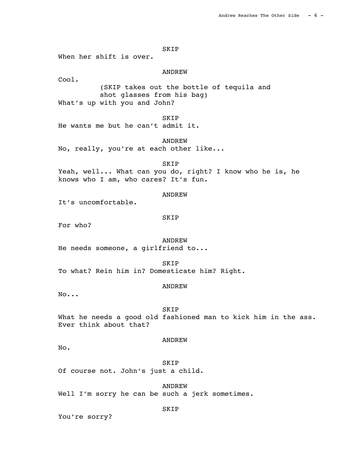SKIP When her shift is over. ANDREW Cool. (SKIP takes out the bottle of tequila and shot glasses from his bag) What's up with you and John? **SKIP** He wants me but he can't admit it. ANDREW No, really, you're at each other like... SKIP Yeah, well... What can you do, right? I know who he is, he knows who I am, who cares? It's fun. ANDREW It's uncomfortable. SKIP For who? ANDREW He needs someone, a girlfriend to... SKIP To what? Rein him in? Domesticate him? Right. ANDREW No... SKIP What he needs a good old fashioned man to kick him in the ass. Ever think about that? ANDREW No. SKIP Of course not. John's just a child. ANDREW Well I'm sorry he can be such a jerk sometimes.

SKIP

You're sorry?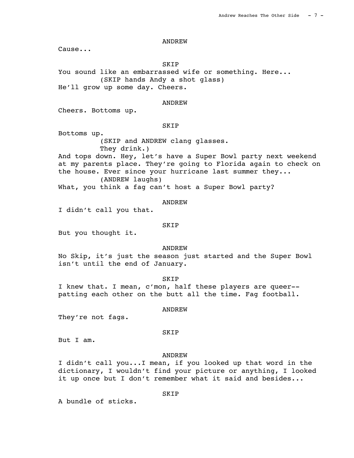Cause...

SKIP

You sound like an embarrassed wife or something. Here... (SKIP hands Andy a shot glass) He'll grow up some day. Cheers.

#### ANDREW

Cheers. Bottoms up.

**SKIP** 

Bottoms up.

(SKIP and ANDREW clang glasses. They drink.)

And tops down. Hey, let's have a Super Bowl party next weekend at my parents place. They're going to Florida again to check on the house. Ever since your hurricane last summer they... (ANDREW laughs)

What, you think a fag can't host a Super Bowl party?

#### ANDREW

I didn't call you that.

#### SKIP

But you thought it.

ANDREW

No Skip, it's just the season just started and the Super Bowl isn't until the end of January.

**SKIP** I knew that. I mean, c'mon, half these players are queer- patting each other on the butt all the time. Fag football.

ANDREW

They're not fags.

### SKIP

But I am.

#### ANDREW

I didn't call you...I mean, if you looked up that word in the dictionary, I wouldn't find your picture or anything, I looked it up once but I don't remember what it said and besides...

A bundle of sticks.

SKIP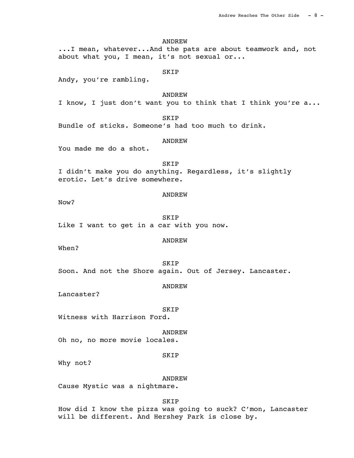...I mean, whatever...And the pats are about teamwork and, not about what you, I mean, it's not sexual or... SKIP Andy, you're rambling. ANDREW I know, I just don't want you to think that I think you're a... **SKIP** Bundle of sticks. Someone's had too much to drink.

#### ANDREW

ANDREW

You made me do a shot.

 SKIP I didn't make you do anything. Regardless, it's slightly erotic. Let's drive somewhere.

#### ANDREW

Now?

 SKIP Like I want to get in a car with you now.

#### ANDREW

When?

 SKIP Soon. And not the Shore again. Out of Jersey. Lancaster.

ANDREW

Lancaster?

 SKIP Witness with Harrison Ford.

 ANDREW Oh no, no more movie locales.

### SKIP

Why not?

ANDREW

Cause Mystic was a nightmare.

SKIP

How did I know the pizza was going to suck? C'mon, Lancaster will be different. And Hershey Park is close by.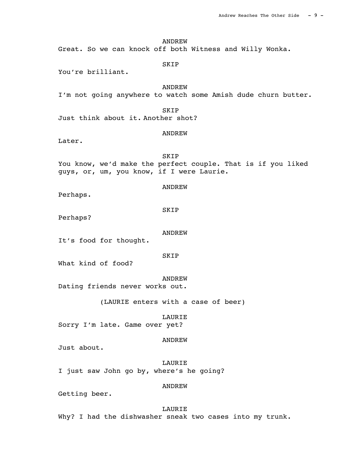Great. So we can knock off both Witness and Willy Wonka.

### SKIP

You're brilliant.

# ANDREW

I'm not going anywhere to watch some Amish dude churn butter.

### SKIP

Just think about it. Another shot?

### ANDREW

Later.

 SKIP You know, we'd make the perfect couple. That is if you liked guys, or, um, you know, if I were Laurie.

# ANDREW

Perhaps.

SKIP

Perhaps?

#### ANDREW

It's food for thought.

SKIP

What kind of food?

#### ANDREW

Dating friends never works out.

(LAURIE enters with a case of beer)

#### LAURIE

Sorry I'm late. Game over yet?

#### ANDREW

Just about.

 LAURIE I just saw John go by, where's he going?

#### ANDREW

Getting beer.

#### LAURIE

Why? I had the dishwasher sneak two cases into my trunk.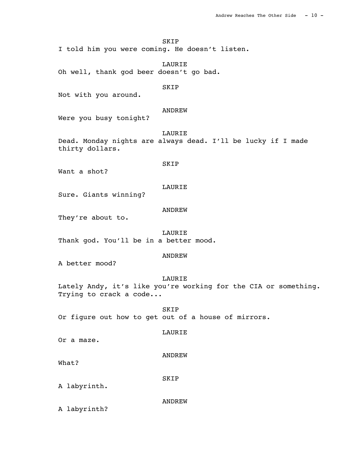SKIP

I told him you were coming. He doesn't listen.

 LAURIE Oh well, thank god beer doesn't go bad.

## SKIP

Not with you around.

# ANDREW

Were you busy tonight?

LAURIE

Dead. Monday nights are always dead. I'll be lucky if I made thirty dollars.

### SKIP

Want a shot?

### LAURIE

Sure. Giants winning?

# ANDREW

They're about to.

#### LAURIE

Thank god. You'll be in a better mood.

#### ANDREW

A better mood?

### LAURIE

Lately Andy, it's like you're working for the CIA or something. Trying to crack a code...

 SKIP Or figure out how to get out of a house of mirrors.

#### LAURIE

Or a maze.

#### ANDREW

What?

### SKIP

A labyrinth.

### ANDREW

A labyrinth?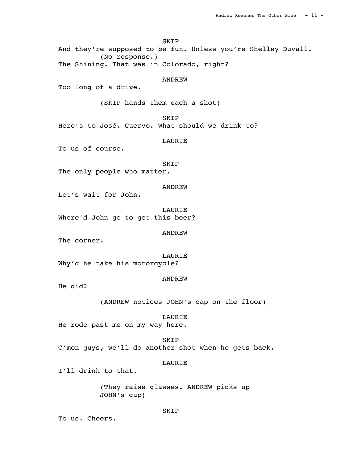SKIP And they're supposed to be fun. Unless you're Shelley Duvall. (No response.) The Shining. That was in Colorado, right? ANDREW Too long of a drive. (SKIP hands them each a shot) SKIP Here's to José. Cuervo. What should we drink to? LAURIE To us of course. SKIP The only people who matter. ANDREW Let's wait for John. LAURIE Where'd John go to get this beer? ANDREW The corner. LAURIE Why'd he take his motorcycle? ANDREW He did? (ANDREW notices JOHN's cap on the floor) LAURIE He rode past me on my way here. SKIP C'mon guys, we'll do another shot when he gets back. LAURIE I'll drink to that. (They raise glasses. ANDREW picks up JOHN's cap)

SKIP

To us. Cheers.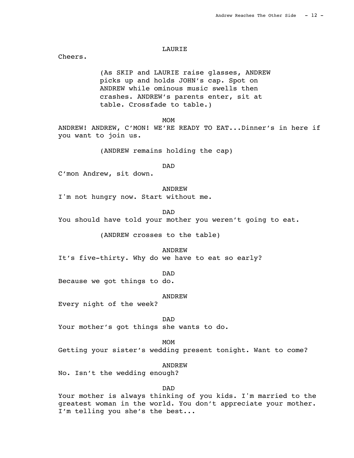### **LAURTE**

Cheers.

(As SKIP and LAURIE raise glasses, ANDREW picks up and holds JOHN's cap. Spot on ANDREW while ominous music swells then crashes. ANDREW's parents enter, sit at table. Crossfade to table.)

MOM<sup>N</sup>

ANDREW! ANDREW, C'MON! WE'RE READY TO EAT...Dinner's in here if you want to join us.

(ANDREW remains holding the cap)

DAD

C'mon Andrew, sit down.

ANDREW

I'm not hungry now. Start without me.

DAD

You should have told your mother you weren't going to eat.

(ANDREW crosses to the table)

ANDREW

It's five-thirty. Why do we have to eat so early?

DAD

Because we got things to do.

ANDREW

Every night of the week?

DAD

Your mother's got things she wants to do.

MOM<sup>N</sup>

Getting your sister's wedding present tonight. Want to come?

ANDREW

No. Isn't the wedding enough?

DAD

Your mother is always thinking of you kids. I'm married to the greatest woman in the world. You don't appreciate your mother. I'm telling you she's the best...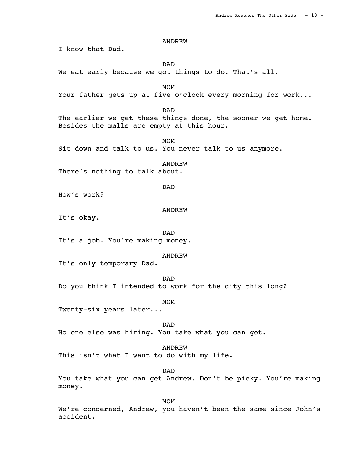I know that Dad.

 DAD We eat early because we got things to do. That's all.

MOM<sup>N</sup> Your father gets up at five o'clock every morning for work...

DAD

The earlier we get these things done, the sooner we get home. Besides the malls are empty at this hour.

MOM<sup>N</sup> Sit down and talk to us. You never talk to us anymore.

 ANDREW There's nothing to talk about.

DAD

How's work?

ANDREW

It's okay.

DAD

It's a job. You're making money.

ANDREW

It's only temporary Dad.

 DAD Do you think I intended to work for the city this long?

MOM<sup>N</sup>

Twenty-six years later...

 DAD No one else was hiring. You take what you can get.

ANDREW

This isn't what I want to do with my life.

DAD

You take what you can get Andrew. Don't be picky. You're making money.

MOM<sup>N</sup>

We're concerned, Andrew, you haven't been the same since John's accident.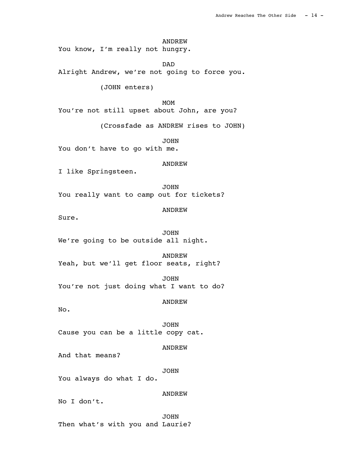ANDREW You know, I'm really not hungry.

 DAD Alright Andrew, we're not going to force you.

(JOHN enters)

MOM<sup>N</sup> You're not still upset about John, are you?

(Crossfade as ANDREW rises to JOHN)

**JOHN** You don't have to go with me.

ANDREW

I like Springsteen.

 JOHN You really want to camp out for tickets?

ANDREW

Sure.

 JOHN We're going to be outside all night.

 ANDREW Yeah, but we'll get floor seats, right?

 JOHN You're not just doing what I want to do?

ANDREW

No.

 JOHN Cause you can be a little copy cat.

ANDREW

And that means?

JOHN

You always do what I do.

ANDREW

No I don't.

 JOHN Then what's with you and Laurie?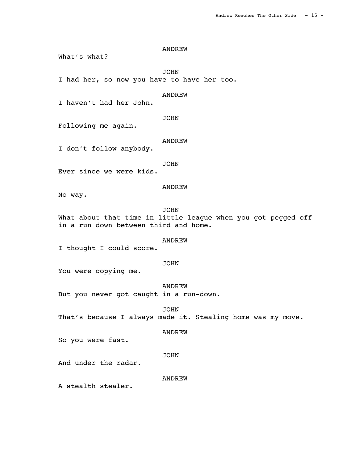What's what?

 JOHN I had her, so now you have to have her too.

ANDREW

I haven't had her John.

JOHN

Following me again.

#### ANDREW

I don't follow anybody.

JOHN

Ever since we were kids.

### ANDREW

No way.

# JOHN

What about that time in little league when you got pegged off in a run down between third and home.

### ANDREW

I thought I could score.

#### JOHN

You were copying me.

ANDREW

But you never got caught in a run-down.

JOHN

That's because I always made it. Stealing home was my move.

#### ANDREW

So you were fast.

#### JOHN

And under the radar.

### ANDREW

A stealth stealer.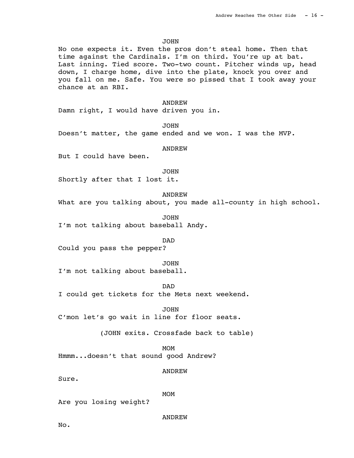JOHN

No one expects it. Even the pros don't steal home. Then that time against the Cardinals. I'm on third. You're up at bat. Last inning. Tied score. Two-two count. Pitcher winds up, head down, I charge home, dive into the plate, knock you over and you fall on me. Safe. You were so pissed that I took away your chance at an RBI.

 ANDREW Damn right, I would have driven you in.

JOHN

Doesn't matter, the game ended and we won. I was the MVP.

### ANDREW

But I could have been.

JOHN

Shortly after that I lost it.

ANDREW

What are you talking about, you made all-county in high school.

 JOHN I'm not talking about baseball Andy.

DAD

Could you pass the pepper?

JOHN

I'm not talking about baseball.

DAD

I could get tickets for the Mets next weekend.

 JOHN C'mon let's go wait in line for floor seats.

(JOHN exits. Crossfade back to table)

MOM<sup>N</sup> Hmmm...doesn't that sound good Andrew?

ANDREW

Sure.

MOM<sup>N</sup>

Are you losing weight?

ANDREW

 $N<sub>0</sub>$ .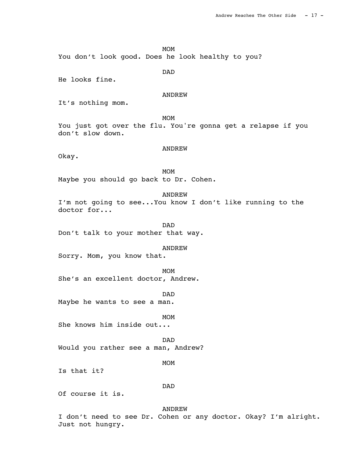MOM

You don't look good. Does he look healthy to you?

 DAD He looks fine.

# ANDREW

It's nothing mom.

MOM<sup>N</sup> You just got over the flu. You're gonna get a relapse if you don't slow down.

### ANDREW

Okay.

MOM<sup>N</sup> Maybe you should go back to Dr. Cohen.

 ANDREW I'm not going to see...You know I don't like running to the doctor for...

 DAD Don't talk to your mother that way.

### ANDREW

Sorry. Mom, you know that.

MOM<sup>N</sup> She's an excellent doctor, Andrew.

 DAD Maybe he wants to see a man.

MOM<sup>N</sup> She knows him inside out...

 DAD Would you rather see a man, Andrew?

MOM<sup>N</sup>

Is that it?

# DAD

Of course it is.

#### ANDREW

I don't need to see Dr. Cohen or any doctor. Okay? I'm alright. Just not hungry.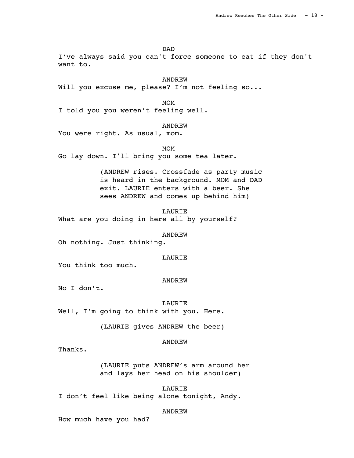DAD

I've always said you can't force someone to eat if they don't want to.

ANDREW

Will you excuse me, please? I'm not feeling so...

MOM<sup>N</sup> I told you you weren't feeling well.

**ANDREW** 

You were right. As usual, mom.

MOM<sup>N</sup> Go lay down. I'll bring you some tea later.

> (ANDREW rises. Crossfade as party music is heard in the background. MOM and DAD exit. LAURIE enters with a beer. She sees ANDREW and comes up behind him)

 LAURIE What are you doing in here all by yourself?

ANDREW

Oh nothing. Just thinking.

# LAURIE

You think too much.

#### ANDREW

No I don't.

 LAURIE Well, I'm going to think with you. Here.

(LAURIE gives ANDREW the beer)

#### ANDREW

Thanks.

(LAURIE puts ANDREW's arm around her and lays her head on his shoulder)

LAURIE

I don't feel like being alone tonight, Andy.

#### ANDREW

How much have you had?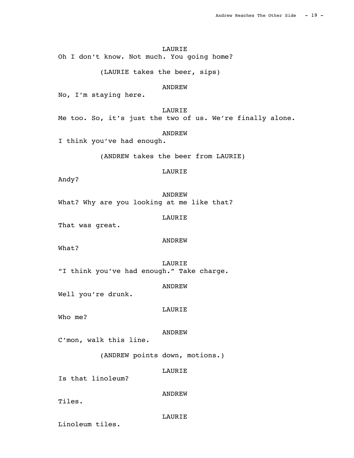### LAURIE

Oh I don't know. Not much. You going home?

(LAURIE takes the beer, sips)

### **ANDREW**

No, I'm staying here.

### LAURIE

Me too. So, it's just the two of us. We're finally alone.

# ANDREW

I think you've had enough.

(ANDREW takes the beer from LAURIE)

# LAURIE

Andy?

 ANDREW What? Why are you looking at me like that?

LAURIE

That was great.

### ANDREW

What?

 LAURIE "I think you've had enough." Take charge.

ANDREW

Well you're drunk.

LAURIE

Who me?

ANDREW

C'mon, walk this line.

(ANDREW points down, motions.)

#### LAURIE

Is that linoleum?

ANDREW

Tiles.

### LAURIE

Linoleum tiles.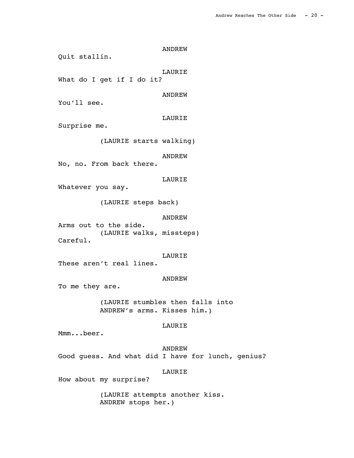ANDREW Quit stallin. LAURIE What do I get if I do it? ANDREW You'll see. LAURIE Surprise me. (LAURIE starts walking) ANDREW No, no. From back there. LAURIE Whatever you say. (LAURIE steps back) ANDREW Arms out to the side. (LAURIE walks, missteps) Careful. LAURIE These aren't real lines. ANDREW To me they are. (LAURIE stumbles then falls into ANDREW's arms. Kisses him.) LAURIE Mmm...beer. ANDREW Good guess. And what did I have for lunch, genius? LAURIE

How about my surprise?

(LAURIE attempts another kiss. ANDREW stops her.)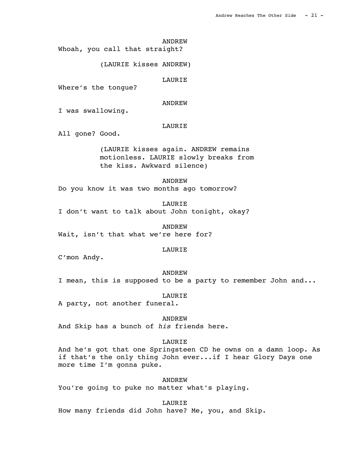Whoah, you call that straight?

(LAURIE kisses ANDREW)

LAURIE

Where's the tongue?

ANDREW

I was swallowing.

### LAURIE

All gone? Good.

(LAURIE kisses again. ANDREW remains motionless. LAURIE slowly breaks from the kiss. Awkward silence)

ANDREW

Do you know it was two months ago tomorrow?

 LAURIE I don't want to talk about John tonight, okay?

 ANDREW Wait, isn't that what we're here for?

#### LAURIE

C'mon Andy.

 ANDREW I mean, this is supposed to be a party to remember John and...

LAURIE

A party, not another funeral.

 ANDREW And Skip has a bunch of his friends here.

### LAURIE

And he's got that one Springsteen CD he owns on a damn loop. As if that's the only thing John ever...if I hear Glory Days one more time I'm gonna puke.

 ANDREW You're going to puke no matter what's playing.

 LAURIE How many friends did John have? Me, you, and Skip.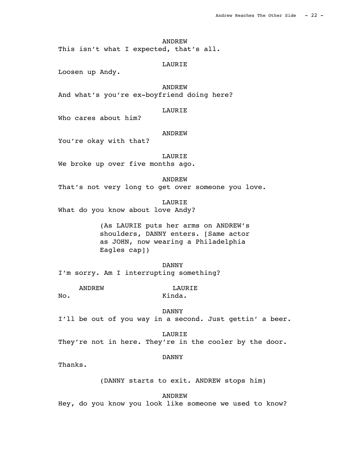This isn't what I expected, that's all.

### LAURIE

Loosen up Andy.

**ANDREW** And what's you're ex-boyfriend doing here?

### LAURIE

Who cares about him?

## ANDREW

You're okay with that?

LAURIE

We broke up over five months ago.

#### ANDREW

That's not very long to get over someone you love.

 LAURIE What do you know about love Andy?

> (As LAURIE puts her arms on ANDREW's shoulders, DANNY enters. [Same actor as JOHN, now wearing a Philadelphia Eagles cap])

 DANNY I'm sorry. Am I interrupting something?

ANDREW LAURIE No. Kinda.

 DANNY I'll be out of you way in a second. Just gettin' a beer.

 LAURIE They're not in here. They're in the cooler by the door.

### DANNY

Thanks.

(DANNY starts to exit. ANDREW stops him)

ANDREW

Hey, do you know you look like someone we used to know?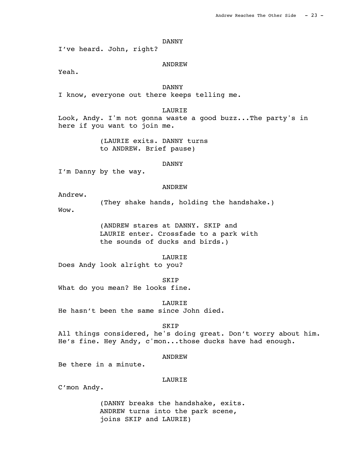I've heard. John, right?

### ANDREW

Yeah.

 DANNY I know, everyone out there keeps telling me.

### LAURIE

Look, Andy. I'm not gonna waste a good buzz...The party's in here if you want to join me.

> (LAURIE exits. DANNY turns to ANDREW. Brief pause)

### DANNY

I'm Danny by the way.

### ANDREW

Andrew.

(They shake hands, holding the handshake.)

Wow.

(ANDREW stares at DANNY. SKIP and LAURIE enter. Crossfade to a park with the sounds of ducks and birds.)

LAURIE

Does Andy look alright to you?

**SKIP** What do you mean? He looks fine.

 LAURIE He hasn't been the same since John died.

**SKIP** 

All things considered, he's doing great. Don't worry about him. He's fine. Hey Andy, c'mon...those ducks have had enough.

#### ANDREW

Be there in a minute.

# LAURIE

C'mon Andy.

(DANNY breaks the handshake, exits. ANDREW turns into the park scene, joins SKIP and LAURIE)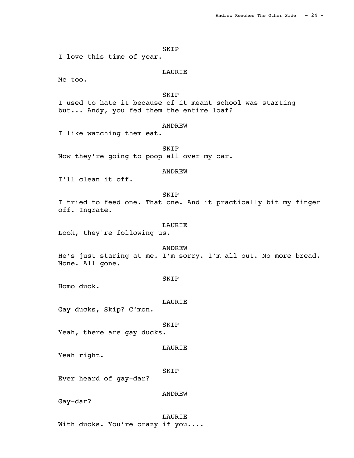#### SKIP

I love this time of year.

### LAURIE

Me too.

SKIP

I used to hate it because of it meant school was starting but... Andy, you fed them the entire loaf?

### **ANDREW**

I like watching them eat.

 SKIP Now they're going to poop all over my car.

# ANDREW

I'll clean it off.

### SKIP

I tried to feed one. That one. And it practically bit my finger off. Ingrate.

### LAURIE

Look, they're following us.

# ANDREW

He's just staring at me. I'm sorry. I'm all out. No more bread. None. All gone.

#### SKIP

Homo duck.

#### LAURIE

Gay ducks, Skip? C'mon.

### SKIP

Yeah, there are gay ducks.

#### LAURIE

Yeah right.

#### SKIP

Ever heard of gay-dar?

# ANDREW

Gay-dar?

# LAURIE With ducks. You're crazy if you....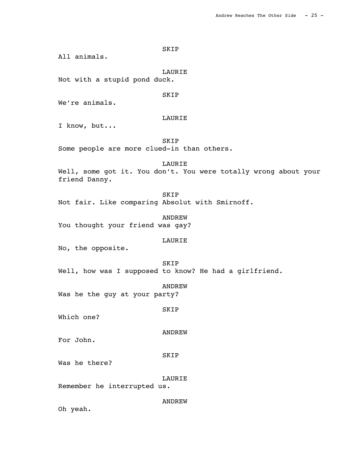All animals.

LAURIE

SKIP

Not with a stupid pond duck.

SKIP

We're animals.

# LAURIE

I know, but...

 SKIP Some people are more clued-in than others.

 LAURIE Well, some got it. You don't. You were totally wrong about your friend Danny.

 SKIP Not fair. Like comparing Absolut with Smirnoff.

 ANDREW You thought your friend was gay?

### LAURIE

No, the opposite.

 SKIP Well, how was I supposed to know? He had a girlfriend.

ANDREW

Was he the guy at your party?

SKIP

Which one?

ANDREW

For John.

SKIP

Was he there?

LAURIE

Remember he interrupted us.

ANDREW

Oh yeah.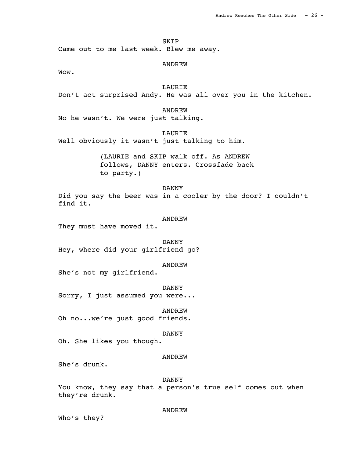SKIP

Came out to me last week. Blew me away.

#### ANDREW

Wow.

# **LAURIE**

Don't act surprised Andy. He was all over you in the kitchen.

### ANDREW

No he wasn't. We were just talking.

LAURIE

Well obviously it wasn't just talking to him.

(LAURIE and SKIP walk off. As ANDREW follows, DANNY enters. Crossfade back to party.)

 DANNY Did you say the beer was in a cooler by the door? I couldn't find it.

#### ANDREW

They must have moved it.

 DANNY Hey, where did your girlfriend go?

#### ANDREW

She's not my girlfriend.

DANNY

Sorry, I just assumed you were...

ANDREW

Oh no...we're just good friends.

### DANNY

Oh. She likes you though.

#### ANDREW

She's drunk.

#### DANNY

You know, they say that a person's true self comes out when they're drunk.

#### ANDREW

Who's they?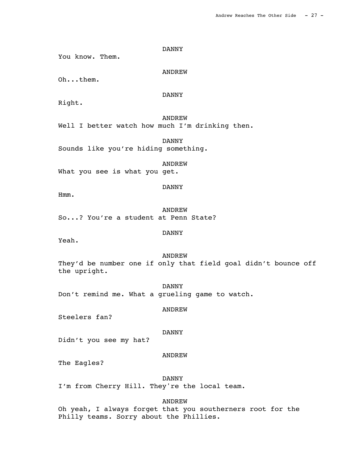You know. Them.

ANDREW

Oh...them.

DANNY

Right.

 ANDREW Well I better watch how much I'm drinking then.

 DANNY Sounds like you're hiding something.

 ANDREW What you see is what you get.

 ANDREW So...? You're a student at Penn State?

DANNY

Yeah.

Hmm.

ANDREW

DANNY

They'd be number one if only that field goal didn't bounce off the upright.

 DANNY Don't remind me. What a grueling game to watch.

ANDREW

Steelers fan?

DANNY

Didn't you see my hat?

ANDREW

The Eagles?

DANNY

I'm from Cherry Hill. They're the local team.

ANDREW

Oh yeah, I always forget that you southerners root for the Philly teams. Sorry about the Phillies.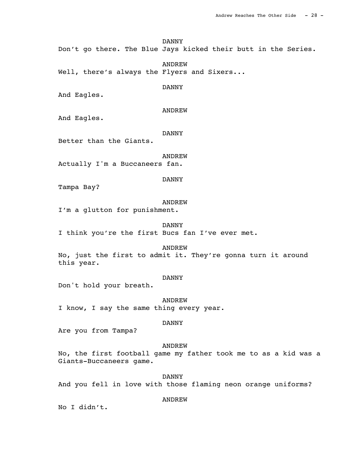Don't go there. The Blue Jays kicked their butt in the Series.

 ANDREW Well, there's always the Flyers and Sixers...

DANNY

And Eagles.

ANDREW

And Eagles.

### DANNY

Better than the Giants.

ANDREW

Actually I'm a Buccaneers fan.

DANNY

Tampa Bay?

### ANDREW

I'm a glutton for punishment.

 DANNY I think you're the first Bucs fan I've ever met.

ANDREW

No, just the first to admit it. They're gonna turn it around this year.

#### DANNY

Don't hold your breath.

 ANDREW I know, I say the same thing every year.

### DANNY

Are you from Tampa?

#### ANDREW

No, the first football game my father took me to as a kid was a Giants-Buccaneers game.

#### DANNY

And you fell in love with those flaming neon orange uniforms?

#### ANDREW

No I didn't.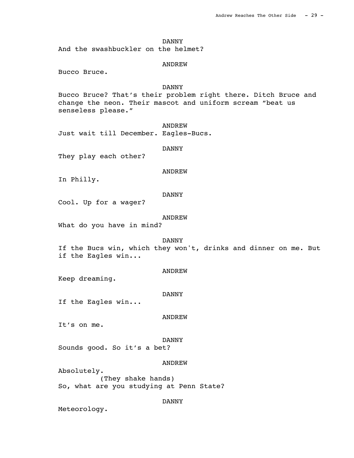And the swashbuckler on the helmet?

### ANDREW

Bucco Bruce.

### DANNY

Bucco Bruce? That's their problem right there. Ditch Bruce and change the neon. Their mascot and uniform scream "beat us senseless please."

**ANDREW** Just wait till December. Eagles-Bucs.

#### DANNY

They play each other?

### ANDREW

In Philly.

### DANNY

Cool. Up for a wager?

#### ANDREW

What do you have in mind?

#### DANNY

If the Bucs win, which they won't, drinks and dinner on me. But if the Eagles win...

### ANDREW

Keep dreaming.

#### DANNY

If the Eagles win...

#### ANDREW

It's on me.

#### DANNY

Sounds good. So it's a bet?

### ANDREW

Absolutely. (They shake hands) So, what are you studying at Penn State?

### DANNY

Meteorology.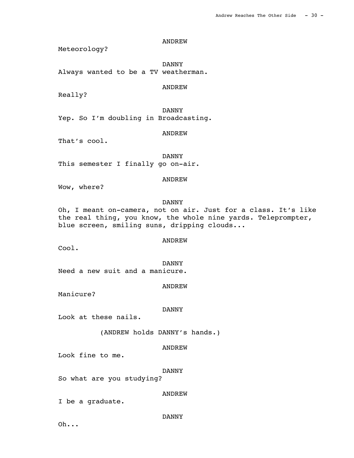Meteorology?

 DANNY Always wanted to be a TV weatherman.

### ANDREW

Really?

DANNY

Yep. So I'm doubling in Broadcasting.

ANDREW

That's cool.

 DANNY This semester I finally go on-air.

### ANDREW

Wow, where?

# DANNY

Oh, I meant on-camera, not on air. Just for a class. It's like the real thing, you know, the whole nine yards. Teleprompter, blue screen, smiling suns, dripping clouds...

### ANDREW

Cool.

 DANNY Need a new suit and a manicure.

ANDREW

Manicure?

#### DANNY

Look at these nails.

(ANDREW holds DANNY's hands.)

### ANDREW

Look fine to me.

DANNY

So what are you studying?

ANDREW

I be a graduate.

### DANNY

Oh...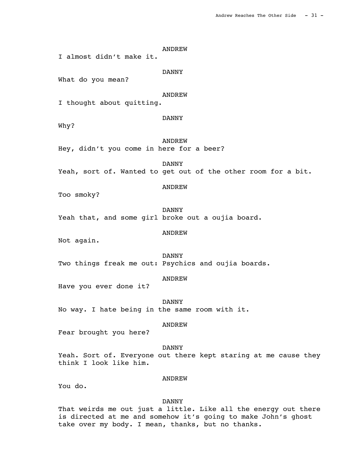ANDREW I almost didn't make it. DANNY What do you mean? ANDREW I thought about quitting. DANNY Why? ANDREW Hey, didn't you come in here for a beer? DANNY Yeah, sort of. Wanted to get out of the other room for a bit. ANDREW Too smoky? DANNY Yeah that, and some girl broke out a oujia board. ANDREW Not again. DANNY Two things freak me out: Psychics and oujia boards. ANDREW Have you ever done it? DANNY No way. I hate being in the same room with it. ANDREW Fear brought you here? DANNY Yeah. Sort of. Everyone out there kept staring at me cause they think I look like him. ANDREW

You do.

DANNY

That weirds me out just a little. Like all the energy out there is directed at me and somehow it's going to make John's ghost take over my body. I mean, thanks, but no thanks.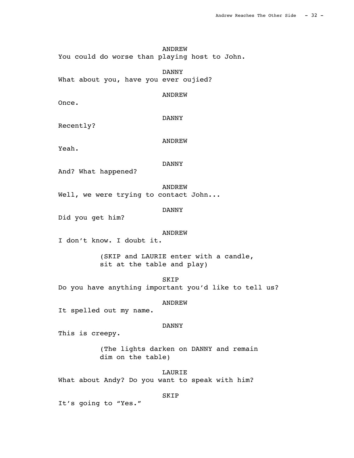ANDREW You could do worse than playing host to John.

 DANNY What about you, have you ever oujied?

DANNY

ANDREW

Recently?

ANDREW

Yeah.

Once.

### DANNY

And? What happened?

ANDREW

Well, we were trying to contact John...

DANNY

Did you get him?

### ANDREW

I don't know. I doubt it.

(SKIP and LAURIE enter with a candle, sit at the table and play)

 SKIP Do you have anything important you'd like to tell us?

#### ANDREW

It spelled out my name.

### DANNY

This is creepy.

(The lights darken on DANNY and remain dim on the table)

 LAURIE What about Andy? Do you want to speak with him?

### SKIP

It's going to "Yes."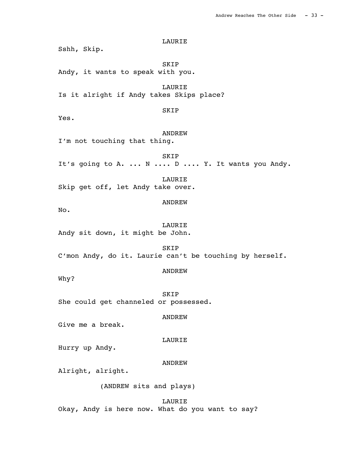LAURIE Sshh, Skip. SKIP Andy, it wants to speak with you. **LAURIE** Is it alright if Andy takes Skips place? SKIP Yes. ANDREW I'm not touching that thing. SKIP It's going to A. ... N .... D .... Y. It wants you Andy. LAURIE Skip get off, let Andy take over. ANDREW No. LAURIE Andy sit down, it might be John. SKIP C'mon Andy, do it. Laurie can't be touching by herself. ANDREW Why? SKIP She could get channeled or possessed. ANDREW Give me a break. LAURIE Hurry up Andy. ANDREW Alright, alright. (ANDREW sits and plays)

 LAURIE Okay, Andy is here now. What do you want to say?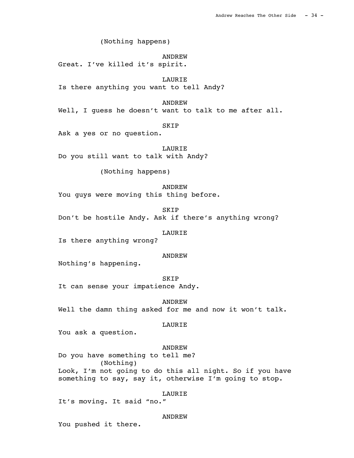(Nothing happens)

 ANDREW Great. I've killed it's spirit.

 LAURIE Is there anything you want to tell Andy?

ANDREW

Well, I guess he doesn't want to talk to me after all.

**SKIP** 

Ask a yes or no question.

 LAURIE Do you still want to talk with Andy?

(Nothing happens)

 ANDREW You guys were moving this thing before.

SKIP

Don't be hostile Andy. Ask if there's anything wrong?

## LAURIE

Is there anything wrong?

#### ANDREW

Nothing's happening.

 SKIP It can sense your impatience Andy.

 ANDREW Well the damn thing asked for me and now it won't talk.

## LAURIE

You ask a question.

# ANDREW

Do you have something to tell me? (Nothing) Look, I'm not going to do this all night. So if you have something to say, say it, otherwise I'm going to stop.

LAURIE

It's moving. It said "no."

## ANDREW

You pushed it there.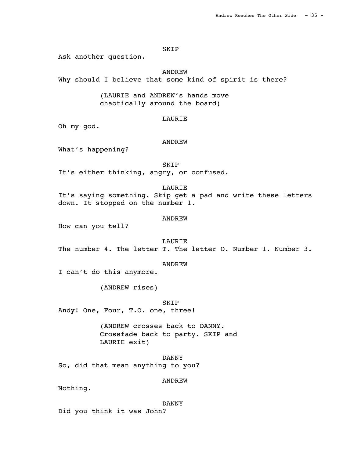## SKIP

Ask another question.

ANDREW

Why should I believe that some kind of spirit is there?

(LAURIE and ANDREW's hands move chaotically around the board)

# LAURIE

Oh my god.

#### ANDREW

What's happening?

SKIP

It's either thinking, angry, or confused.

## LAURIE

It's saying something. Skip get a pad and write these letters down. It stopped on the number 1.

#### ANDREW

How can you tell?

 LAURIE The number 4. The letter T. The letter O. Number 1. Number 3.

#### ANDREW

I can't do this anymore.

(ANDREW rises)

 SKIP Andy! One, Four, T.O. one, three!

> (ANDREW crosses back to DANNY. Crossfade back to party. SKIP and LAURIE exit)

 DANNY So, did that mean anything to you?

# ANDREW

Nothing.

#### DANNY

Did you think it was John?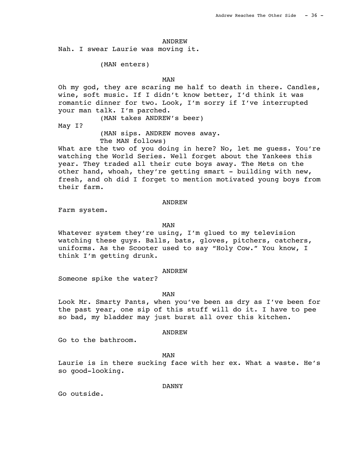Nah. I swear Laurie was moving it.

(MAN enters)

# **MAN**

Oh my god, they are scaring me half to death in there. Candles, wine, soft music. If I didn't know better, I'd think it was romantic dinner for two. Look, I'm sorry if I've interrupted your man talk. I'm parched.

(MAN takes ANDREW's beer)

May I?

(MAN sips. ANDREW moves away. The MAN follows)

What are the two of you doing in here? No, let me guess. You're watching the World Series. Well forget about the Yankees this year. They traded all their cute boys away. The Mets on the other hand, whoah, they're getting smart - building with new, fresh, and oh did I forget to mention motivated young boys from their farm.

## ANDREW

Farm system.

# **MAN**

Whatever system they're using, I'm glued to my television watching these guys. Balls, bats, gloves, pitchers, catchers, uniforms. As the Scooter used to say "Holy Cow." You know, I think I'm getting drunk.

#### ANDREW

Someone spike the water?

**MAN** 

Look Mr. Smarty Pants, when you've been as dry as I've been for the past year, one sip of this stuff will do it. I have to pee so bad, my bladder may just burst all over this kitchen.

#### ANDREW

Go to the bathroom.

# **MAN**

Laurie is in there sucking face with her ex. What a waste. He's so good-looking.

#### DANNY

Go outside.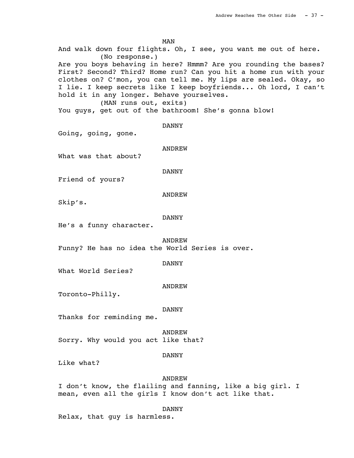**MAN** And walk down four flights. Oh, I see, you want me out of here. (No response.) Are you boys behaving in here? Hmmm? Are you rounding the bases? First? Second? Third? Home run? Can you hit a home run with your clothes on? C'mon, you can tell me. My lips are sealed. Okay, so I lie. I keep secrets like I keep boyfriends... Oh lord, I can't hold it in any longer. Behave yourselves. (MAN runs out, exits) You guys, get out of the bathroom! She's gonna blow! DANNY Going, going, gone. ANDREW What was that about? DANNY Friend of yours? ANDREW Skip's. DANNY He's a funny character. ANDREW Funny? He has no idea the World Series is over. DANNY What World Series? ANDREW Toronto-Philly. DANNY Thanks for reminding me. ANDREW Sorry. Why would you act like that?

## DANNY

Like what?

#### ANDREW

I don't know, the flailing and fanning, like a big girl. I mean, even all the girls I know don't act like that.

DANNY

Relax, that guy is harmless.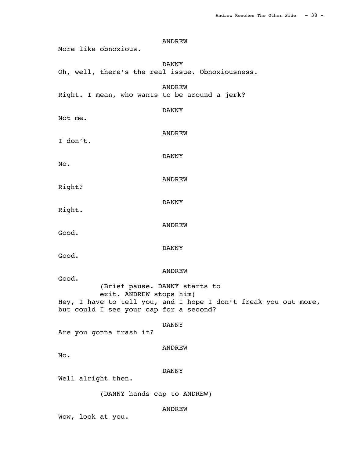ANDREW More like obnoxious. DANNY Oh, well, there's the real issue. Obnoxiousness. ANDREW Right. I mean, who wants to be around a jerk? DANNY Not me. ANDREW I don't. DANNY No. ANDREW Right? DANNY Right. ANDREW Good. DANNY Good. ANDREW Good. (Brief pause. DANNY starts to exit. ANDREW stops him) Hey, I have to tell you, and I hope I don't freak you out more, but could I see your cap for a second? DANNY Are you gonna trash it? ANDREW No. DANNY Well alright then. (DANNY hands cap to ANDREW) ANDREW

Wow, look at you.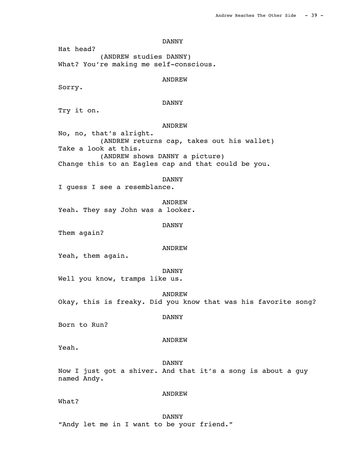DANNY

Hat head? (ANDREW studies DANNY) What? You're making me self-conscious.

ANDREW

Sorry.

# DANNY

Try it on.

## **ANDREW**

No, no, that's alright. (ANDREW returns cap, takes out his wallet) Take a look at this. (ANDREW shows DANNY a picture) Change this to an Eagles cap and that could be you.

#### DANNY

I guess I see a resemblance.

 ANDREW Yeah. They say John was a looker.

#### DANNY

Them again?

# ANDREW

Yeah, them again.

#### DANNY

Well you know, tramps like us.

#### ANDREW

Okay, this is freaky. Did you know that was his favorite song?

#### DANNY

Born to Run?

#### ANDREW

Yeah.

 DANNY Now I just got a shiver. And that it's a song is about a guy named Andy.

## What?

# ANDREW

 DANNY "Andy let me in I want to be your friend."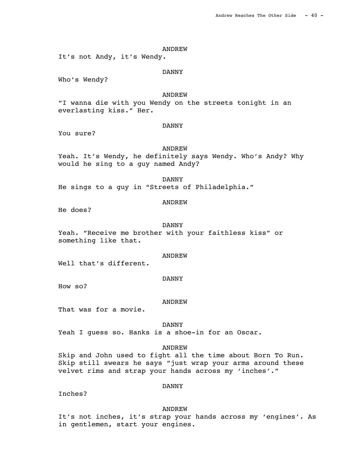It's not Andy, it's Wendy.

#### DANNY

Who's Wendy?

# ANDREW

"I wanna die with you Wendy on the streets tonight in an everlasting kiss." Her.

## DANNY

You sure?

## ANDREW

Yeah. It's Wendy, he definitely says Wendy. Who's Andy? Why would he sing to a guy named Andy?

#### DANNY

He sings to a guy in "Streets of Philadelphia."

## ANDREW

He does?

#### DANNY

Yeah. "Receive me brother with your faithless kiss" or something like that.

#### ANDREW

Well that's different.

#### DANNY

How so?

#### ANDREW

That was for a movie.

## DANNY

Yeah I guess so. Hanks is a shoe-in for an Oscar.

#### ANDREW

Skip and John used to fight all the time about Born To Run. Skip still swears he says "just wrap your arms around these velvet rims and strap your hands across my 'inches'."

Inches?

## DANNY

ANDREW

It's not inches, it's strap your hands across my 'engines'. As in gentlemen, start your engines.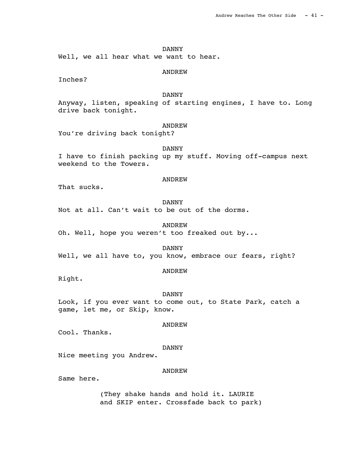DANNY Well, we all hear what we want to hear.

ANDREW

Inches?

# DANNY

Anyway, listen, speaking of starting engines, I have to. Long drive back tonight.

# **ANDREW**

You're driving back tonight?

## DANNY

I have to finish packing up my stuff. Moving off-campus next weekend to the Towers.

## ANDREW

That sucks.

# DANNY

Not at all. Can't wait to be out of the dorms.

ANDREW

Oh. Well, hope you weren't too freaked out by...

DANNY

Well, we all have to, you know, embrace our fears, right?

# ANDREW

Right.

#### DANNY

Look, if you ever want to come out, to State Park, catch a game, let me, or Skip, know.

## ANDREW

Cool. Thanks.

#### DANNY

Nice meeting you Andrew.

#### ANDREW

Same here.

(They shake hands and hold it. LAURIE and SKIP enter. Crossfade back to park)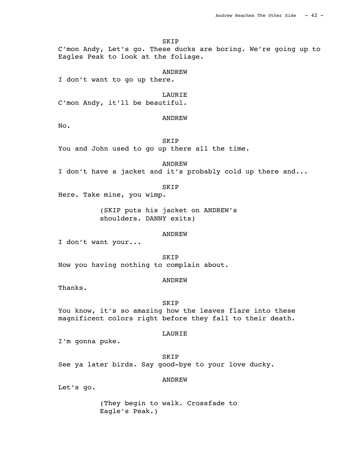SKIP

C'mon Andy, Let's go. These ducks are boring. We're going up to Eagles Peak to look at the foliage.

ANDREW

I don't want to go up there.

LAURIE

C'mon Andy, it'll be beautiful.

ANDREW

No.

SKIP

You and John used to go up there all the time.

ANDREW

I don't have a jacket and it's probably cold up there and...

SKIP

Here. Take mine, you wimp.

(SKIP puts his jacket on ANDREW's shoulders. DANNY exits)

ANDREW

I don't want your...

 SKIP Now you having nothing to complain about.

## ANDREW

Thanks.

SKIP

You know, it's so amazing how the leaves flare into these magnificent colors right before they fall to their death.

## LAURIE

I'm gonna puke.

 SKIP See ya later birds. Say good-bye to your love ducky.

# ANDREW

Let's go.

(They begin to walk. Crossfade to Eagle's Peak.)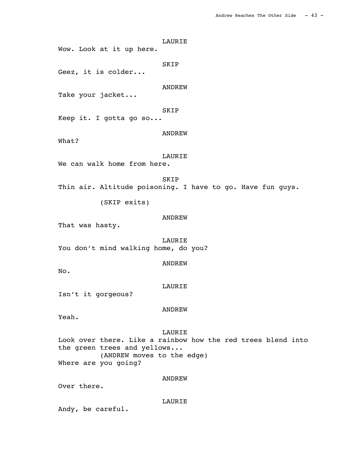LAURIE Wow. Look at it up here. SKIP Geez, it is colder... ANDREW Take your jacket... SKIP Keep it. I gotta go so... ANDREW What? LAURIE We can walk home from here. SKIP Thin air. Altitude poisoning. I have to go. Have fun guys. (SKIP exits) ANDREW That was hasty. LAURIE You don't mind walking home, do you? ANDREW No. LAURIE Isn't it gorgeous? ANDREW Yeah. LAURIE Look over there. Like a rainbow how the red trees blend into the green trees and yellows... (ANDREW moves to the edge) Where are you going? ANDREW Over there.

LAURIE

Andy, be careful.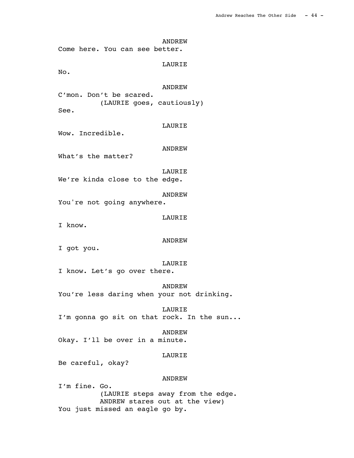ANDREW Come here. You can see better. LAURIE No. ANDREW C'mon. Don't be scared. (LAURIE goes, cautiously) See. LAURIE Wow. Incredible. ANDREW What's the matter? LAURIE We're kinda close to the edge. ANDREW You're not going anywhere. LAURIE I know. ANDREW I got you. LAURIE I know. Let's go over there. ANDREW You're less daring when your not drinking. LAURIE I'm gonna go sit on that rock. In the sun... ANDREW Okay. I'll be over in a minute. LAURIE Be careful, okay? ANDREW I'm fine. Go. (LAURIE steps away from the edge. ANDREW stares out at the view)

You just missed an eagle go by.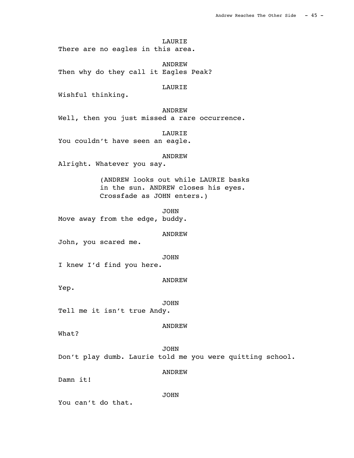LAURIE There are no eagles in this area.

 ANDREW Then why do they call it Eagles Peak?

LAURIE

Wishful thinking.

ANDREW

Well, then you just missed a rare occurrence.

 LAURIE You couldn't have seen an eagle.

ANDREW

Alright. Whatever you say.

(ANDREW looks out while LAURIE basks in the sun. ANDREW closes his eyes. Crossfade as JOHN enters.)

 JOHN Move away from the edge, buddy.

ANDREW

John, you scared me.

JOHN

I knew I'd find you here.

ANDREW

Yep.

 JOHN Tell me it isn't true Andy.

ANDREW

What?

 JOHN Don't play dumb. Laurie told me you were quitting school.

ANDREW

Damn it!

JOHN

You can't do that.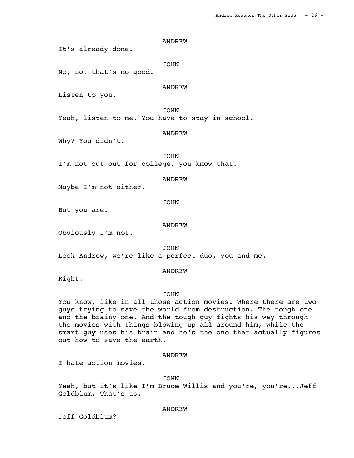It's already done.

JOHN

No, no, that's no good.

ANDREW

Listen to you.

JOHN

Yeah, listen to me. You have to stay in school.

ANDREW

Why? You didn't.

 JOHN I'm not cut out for college, you know that.

ANDREW

Maybe I'm not either.

JOHN

But you are.

ANDREW

Obviously I'm not.

 JOHN Look Andrew, we're like a perfect duo, you and me.

#### ANDREW

Right.

# JOHN

You know, like in all those action movies. Where there are two guys trying to save the world from destruction. The tough one and the brainy one. And the tough guy fights his way through the movies with things blowing up all around him, while the smart guy uses his brain and he's the one that actually figures out how to save the earth.

#### ANDREW

I hate action movies.

#### JOHN

Yeah, but it's like I'm Bruce Willis and you're, you're...Jeff Goldblum. That's us.

#### ANDREW

Jeff Goldblum?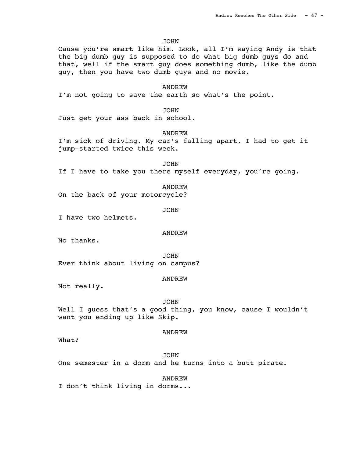JOHN

Cause you're smart like him. Look, all I'm saying Andy is that the big dumb guy is supposed to do what big dumb guys do and that, well if the smart guy does something dumb, like the dumb guy, then you have two dumb guys and no movie.

# **ANDREW**

I'm not going to save the earth so what's the point.

**JOHN** 

Just get your ass back in school.

## ANDREW

I'm sick of driving. My car's falling apart. I had to get it jump-started twice this week.

 JOHN If I have to take you there myself everyday, you're going.

#### ANDREW

On the back of your motorcycle?

JOHN

I have two helmets.

#### ANDREW

No thanks.

 JOHN Ever think about living on campus?

#### ANDREW

Not really.

 JOHN Well I quess that's a good thing, you know, cause I wouldn't want you ending up like Skip.

#### ANDREW

What?

 JOHN One semester in a dorm and he turns into a butt pirate.

 ANDREW I don't think living in dorms...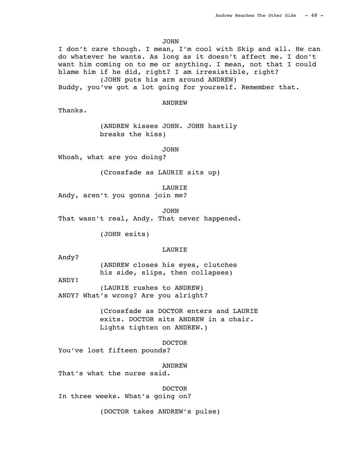JOHN

I don't care though. I mean, I'm cool with Skip and all. He can do whatever he wants. As long as it doesn't affect me. I don't want him coming on to me or anything. I mean, not that I could blame him if he did, right? I am irresistible, right?

(JOHN puts his arm around ANDREW)

Buddy, you've got a lot going for yourself. Remember that.

ANDREW

Thanks.

(ANDREW kisses JOHN. JOHN hastily breaks the kiss)

JOHN

Whoah, what are you doing?

(Crossfade as LAURIE sits up)

LAURIE

Andy, aren't you gonna join me?

JOHN

That wasn't real, Andy. That never happened.

(JOHN exits)

# LAURIE

Andy?

(ANDREW closes his eyes, clutches his side, slips, then collapses)

ANDY!

(LAURIE rushes to ANDREW) ANDY? What's wrong? Are you alright?

> (Crossfade as DOCTOR enters and LAURIE exits. DOCTOR sits ANDREW in a chair. Lights tighten on ANDREW.)

> > DOCTOR

You've lost fifteen pounds?

ANDREW

That's what the nurse said.

 DOCTOR In three weeks. What's going on?

(DOCTOR takes ANDREW's pulse)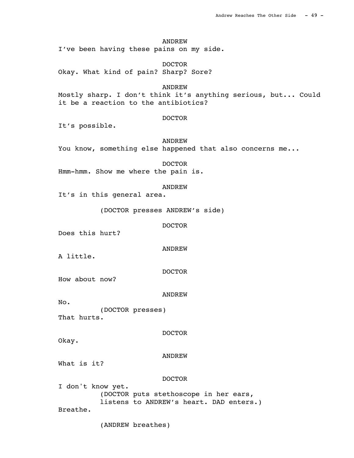I've been having these pains on my side.

 DOCTOR Okay. What kind of pain? Sharp? Sore?

**ANDREW** 

Mostly sharp. I don't think it's anything serious, but... Could it be a reaction to the antibiotics?

# DOCTOR

It's possible.

 ANDREW You know, something else happened that also concerns me...

 DOCTOR Hmm-hmm. Show me where the pain is.

## ANDREW

It's in this general area.

(DOCTOR presses ANDREW's side)

DOCTOR

Does this hurt?

ANDREW

A little.

DOCTOR

How about now?

ANDREW

No.

(DOCTOR presses) That hurts.

DOCTOR

Okay.

ANDREW

What is it?

## DOCTOR

I don't know yet. (DOCTOR puts stethoscope in her ears, listens to ANDREW's heart. DAD enters.) Breathe.

(ANDREW breathes)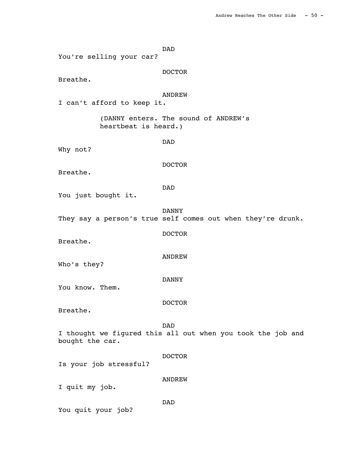DAD You're selling your car? DOCTOR Breathe. ANDREW I can't afford to keep it. (DANNY enters. The sound of ANDREW's heartbeat is heard.) DAD Why not? DOCTOR Breathe. DAD You just bought it. DANNY They say a person's true self comes out when they're drunk. DOCTOR Breathe. ANDREW Who's they? DANNY You know. Them. DOCTOR Breathe. DAD I thought we figured this all out when you took the job and bought the car. DOCTOR Is your job stressful? ANDREW I quit my job. DAD You quit your job?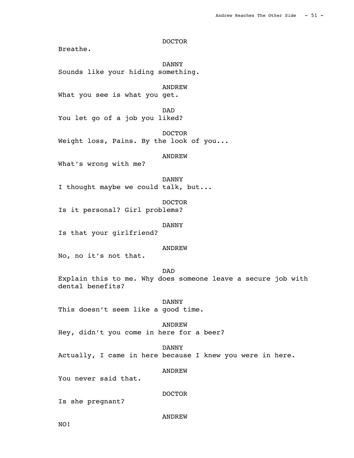DOCTOR

Breathe.

 DANNY Sounds like your hiding something. **ANDREW** What you see is what you get. DAD You let go of a job you liked? DOCTOR Weight loss, Pains. By the look of you... ANDREW What's wrong with me? DANNY I thought maybe we could talk, but... DOCTOR Is it personal? Girl problems? DANNY Is that your girlfriend? ANDREW No, no it's not that. DAD Explain this to me. Why does someone leave a secure job with dental benefits? DANNY This doesn't seem like a good time. ANDREW Hey, didn't you come in here for a beer? DANNY Actually, I came in here because I knew you were in here. ANDREW You never said that. DOCTOR Is she pregnant?

ANDREW

NO!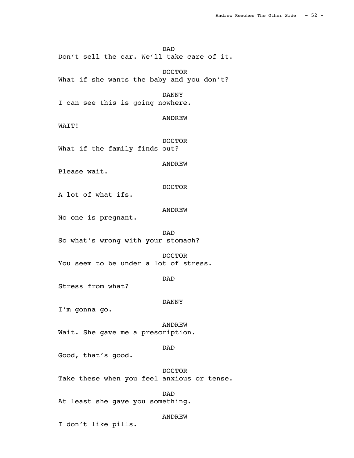DAD

Don't sell the car. We'll take care of it.

 DOCTOR What if she wants the baby and you don't?

 DANNY I can see this is going nowhere.

ANDREW

WATT!

 DOCTOR What if the family finds out?

ANDREW

Please wait.

DOCTOR

A lot of what ifs.

ANDREW

No one is pregnant.

 DAD So what's wrong with your stomach?

 DOCTOR You seem to be under a lot of stress.

DAD

Stress from what?

DANNY

I'm gonna go.

 ANDREW Wait. She gave me a prescription.

DAD

Good, that's good.

 DOCTOR Take these when you feel anxious or tense.

 DAD At least she gave you something.

ANDREW

I don't like pills.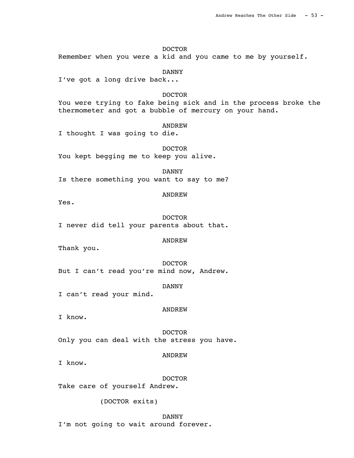DOCTOR Remember when you were a kid and you came to me by yourself.

 DANNY I've got a long drive back...

DOCTOR

You were trying to fake being sick and in the process broke the thermometer and got a bubble of mercury on your hand.

## **ANDREW**

I thought I was going to die.

 DOCTOR You kept begging me to keep you alive.

 DANNY Is there something you want to say to me?

## ANDREW

Yes.

 DOCTOR I never did tell your parents about that.

## ANDREW

Thank you.

 DOCTOR But I can't read you're mind now, Andrew.

DANNY

I can't read your mind.

## ANDREW

I know.

 DOCTOR Only you can deal with the stress you have.

ANDREW

I know.

DOCTOR

Take care of yourself Andrew.

(DOCTOR exits)

 DANNY I'm not going to wait around forever.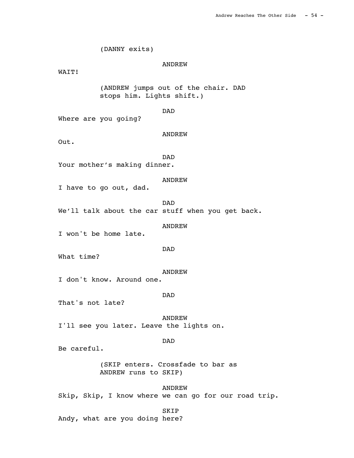(DANNY exits) ANDREW WAIT! (ANDREW jumps out of the chair. DAD stops him. Lights shift.) DAD Where are you going? ANDREW Out. DAD Your mother's making dinner. ANDREW I have to go out, dad. DAD We'll talk about the car stuff when you get back. ANDREW I won't be home late. DAD What time? ANDREW I don't know. Around one. DAD That's not late? ANDREW I'll see you later. Leave the lights on. DAD Be careful. (SKIP enters. Crossfade to bar as ANDREW runs to SKIP) ANDREW Skip, Skip, I know where we can go for our road trip. SKIP

Andy, what are you doing here?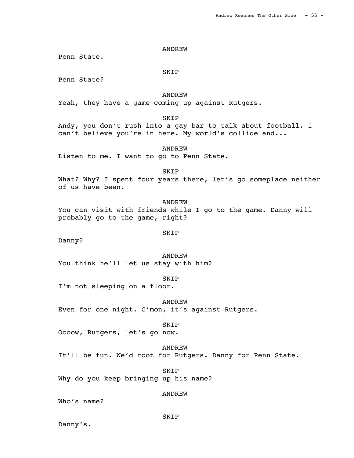Penn State.

SKIP

Penn State?

 ANDREW Yeah, they have a game coming up against Rutgers.

SKIP

Andy, you don't rush into a gay bar to talk about football. I can't believe you're in here. My world's collide and...

 ANDREW Listen to me. I want to go to Penn State.

 SKIP What? Why? I spent four years there, let's go someplace neither of us have been.

**ANDREW** You can visit with friends while I go to the game. Danny will probably go to the game, right?

SKIP

Danny?

 ANDREW You think he'll let us stay with him?

**SKIP** I'm not sleeping on a floor.

 ANDREW Even for one night. C'mon, it's against Rutgers.

 SKIP Oooow, Rutgers, let's go now.

 ANDREW It'll be fun. We'd root for Rutgers. Danny for Penn State.

 SKIP Why do you keep bringing up his name?

ANDREW

Who's name?

SKIP

Danny's.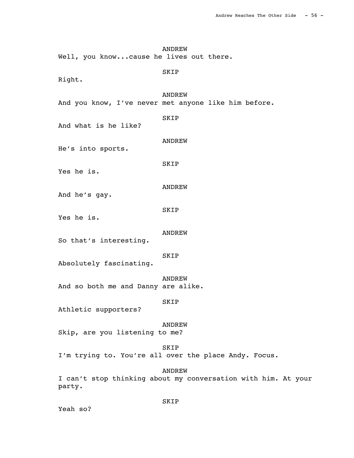ANDREW Well, you know...cause he lives out there. SKIP Right.

 ANDREW And you know, I've never met anyone like him before.

SKIP

And what is he like?

ANDREW

He's into sports.

SKIP

Yes he is.

ANDREW

And he's gay.

SKIP

Yes he is.

ANDREW

So that's interesting.

SKIP

Absolutely fascinating.

 ANDREW And so both me and Danny are alike.

SKIP

Athletic supporters?

ANDREW

Skip, are you listening to me?

SKIP

I'm trying to. You're all over the place Andy. Focus.

ANDREW

I can't stop thinking about my conversation with him. At your party.

Yeah so?

SKIP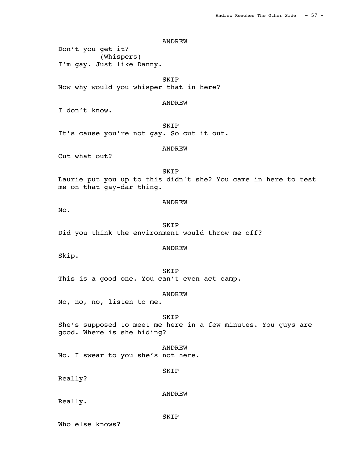Don't you get it? (Whispers) I'm gay. Just like Danny.

 SKIP Now why would you whisper that in here?

## ANDREW

I don't know.

**SKIP** It's cause you're not gay. So cut it out.

## ANDREW

Cut what out?

 SKIP Laurie put you up to this didn't she? You came in here to test me on that gay-dar thing.

## ANDREW

No.

 SKIP Did you think the environment would throw me off?

## ANDREW

Skip.

 SKIP This is a good one. You can't even act camp.

#### ANDREW

No, no, no, listen to me.

## SKIP

She's supposed to meet me here in a few minutes. You guys are good. Where is she hiding?

 ANDREW No. I swear to you she's not here.

#### SKIP

Really?

## ANDREW

Really.

SKIP

Who else knows?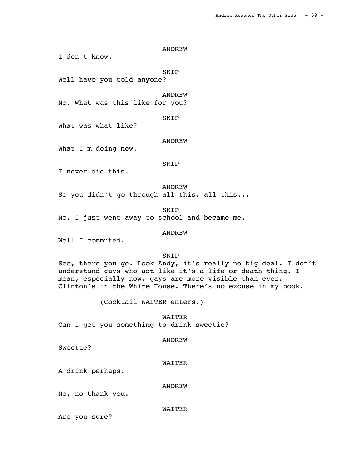I don't know.

SKIP

Well have you told anyone?

ANDREW

No. What was this like for you?

SKIP

What was what like?

ANDREW

What I'm doing now.

SKIP

I never did this.

ANDREW

So you didn't go through all this, all this...

SKIP

No, I just went away to school and became me.

ANDREW

Well I commuted.

SKIP

See, there you go. Look Andy, it's really no big deal. I don't understand guys who act like it's a life or death thing. I mean, especially now, gays are more visible than ever. Clinton's in the White House. There's no excuse in my book.

(Cocktail WAITER enters.)

 WAITER Can I get you something to drink sweetie?

#### ANDREW

Sweetie?

# WAITER

A drink perhaps.

ANDREW

No, no thank you.

#### WAITER

Are you sure?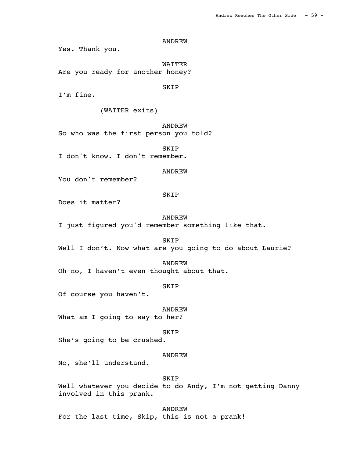Yes. Thank you.

 WAITER Are you ready for another honey?

SKIP

I'm fine.

(WAITER exits)

**ANDREW** 

So who was the first person you told?

 SKIP I don't know. I don't remember.

ANDREW

You don't remember?

# SKIP

Does it matter?

#### ANDREW

I just figured you'd remember something like that.

SKIP

Well I don't. Now what are you going to do about Laurie?

## ANDREW

Oh no, I haven't even thought about that.

# SKIP

Of course you haven't.

ANDREW

What am I going to say to her?

**SKIP** 

She's going to be crushed.

## ANDREW

No, she'll understand.

## SKIP

Well whatever you decide to do Andy, I'm not getting Danny involved in this prank.

 ANDREW For the last time, Skip, this is not a prank!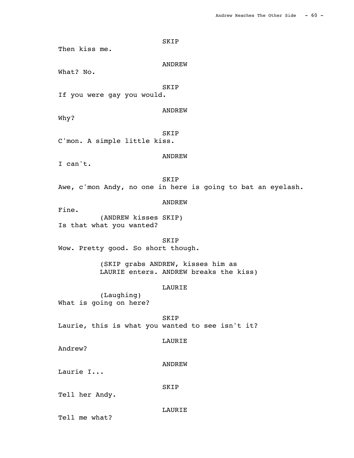SKIP Then kiss me. ANDREW What? No. SKIP If you were gay you would. ANDREW Why? SKIP C'mon. A simple little kiss. ANDREW I can't. SKIP Awe, c'mon Andy, no one in here is going to bat an eyelash. ANDREW Fine. (ANDREW kisses SKIP) Is that what you wanted? SKIP Wow. Pretty good. So short though. (SKIP grabs ANDREW, kisses him as LAURIE enters. ANDREW breaks the kiss) LAURIE (Laughing) What is going on here? SKIP Laurie, this is what you wanted to see isn't it? LAURIE Andrew? ANDREW Laurie I... SKIP Tell her Andy. LAURIE

Tell me what?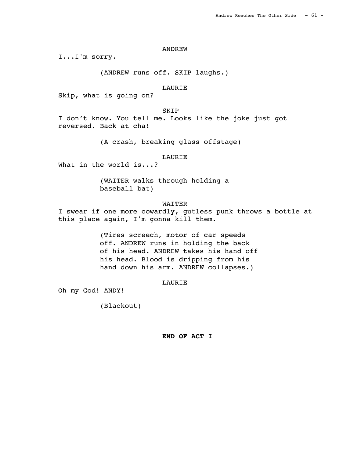I...I'm sorry.

(ANDREW runs off. SKIP laughs.)

# LAURIE

Skip, what is going on?

## SKIP

I don't know. You tell me. Looks like the joke just got reversed. Back at cha!

(A crash, breaking glass offstage)

## LAURIE

What in the world is...?

(WAITER walks through holding a baseball bat)

# WAITER

I swear if one more cowardly, gutless punk throws a bottle at this place again, I'm gonna kill them.

> (Tires screech, motor of car speeds off. ANDREW runs in holding the back of his head. ANDREW takes his hand off his head. Blood is dripping from his hand down his arm. ANDREW collapses.)

# LAURIE

Oh my God! ANDY!

(Blackout)

## **END OF ACT I**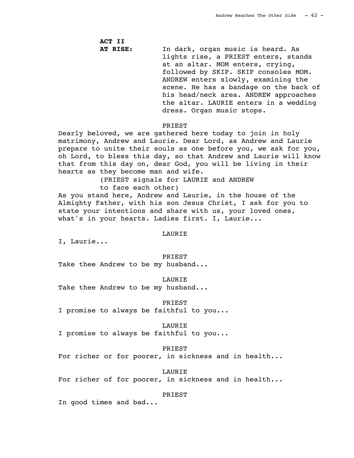**ACT II AT RISE:** In dark, organ music is heard. As lights rise, a PRIEST enters, stands at an altar. MOM enters, crying, followed by SKIP. SKIP consoles MOM. ANDREW enters slowly, examining the scene. He has a bandage on the back of his head/neck area. ANDREW approaches the altar. LAURIE enters in a wedding dress. Organ music stops.

## **PRIEST**

Dearly beloved, we are gathered here today to join in holy matrimony, Andrew and Laurie. Dear Lord, as Andrew and Laurie prepare to unite their souls as one before you, we ask for you, oh Lord, to bless this day, so that Andrew and Laurie will know that from this day on, dear God, you will be living in their hearts as they become man and wife.

(PRIEST signals for LAURIE and ANDREW

to face each other)

As you stand here, Andrew and Laurie, in the house of the Almighty Father, with his son Jesus Christ, I ask for you to state your intentions and share with us, your loved ones, what's in your hearts. Ladies first. I, Laurie...

## LAURIE

I, Laurie...

PRIEST

Take thee Andrew to be my husband...

LAURIE

Take thee Andrew to be my husband...

PRIEST

I promise to always be faithful to you...

LAURIE

I promise to always be faithful to you...

PRIEST

For richer or for poorer, in sickness and in health...

 LAURIE For richer of for poorer, in sickness and in health...

PRIEST

In good times and bad...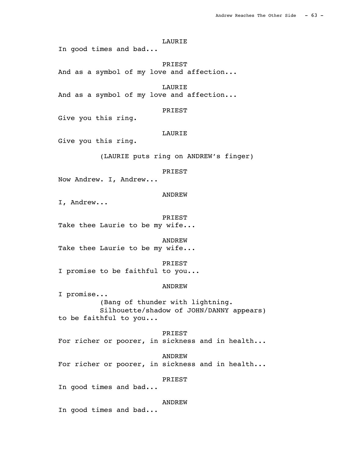# LAURIE

In good times and bad...

 PRIEST And as a symbol of my love and affection...

**LAURIE** And as a symbol of my love and affection...

## PRIEST

Give you this ring.

# LAURIE

Give you this ring.

(LAURIE puts ring on ANDREW's finger)

# PRIEST

Now Andrew. I, Andrew...

# ANDREW

I, Andrew...

 PRIEST Take thee Laurie to be my wife...

 ANDREW Take thee Laurie to be my wife...

#### PRIEST

I promise to be faithful to you...

# ANDREW

I promise... (Bang of thunder with lightning. Silhouette/shadow of JOHN/DANNY appears) to be faithful to you...

 PRIEST For richer or poorer, in sickness and in health...

 ANDREW For richer or poorer, in sickness and in health...

### PRIEST

In good times and bad...

## **ANDREW**

In good times and bad...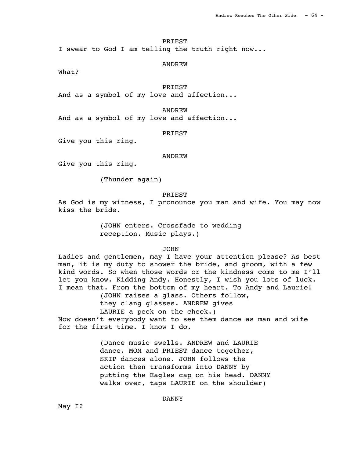# PRIEST

I swear to God I am telling the truth right now...

## ANDREW

What?

# PRIEST

And as a symbol of my love and affection...

#### ANDREW

And as a symbol of my love and affection...

## PRIEST

Give you this ring.

#### ANDREW

Give you this ring.

(Thunder again)

#### PRIEST

As God is my witness, I pronounce you man and wife. You may now kiss the bride.

> (JOHN enters. Crossfade to wedding reception. Music plays.)

# JOHN

Ladies and gentlemen, may I have your attention please? As best man, it is my duty to shower the bride, and groom, with a few kind words. So when those words or the kindness come to me I'll let you know. Kidding Andy. Honestly, I wish you lots of luck. I mean that. From the bottom of my heart. To Andy and Laurie!

(JOHN raises a glass. Others follow,

they clang glasses. ANDREW gives

LAURIE a peck on the cheek.)

Now doesn't everybody want to see them dance as man and wife for the first time. I know I do.

> (Dance music swells. ANDREW and LAURIE dance. MOM and PRIEST dance together, SKIP dances alone. JOHN follows the action then transforms into DANNY by putting the Eagles cap on his head. DANNY walks over, taps LAURIE on the shoulder)

> > DANNY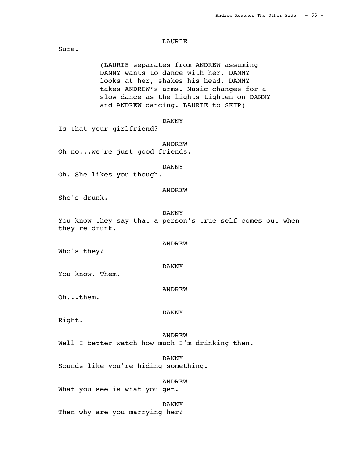## LAURIE

Sure.

(LAURIE separates from ANDREW assuming DANNY wants to dance with her. DANNY looks at her, shakes his head. DANNY takes ANDREW's arms. Music changes for a slow dance as the lights tighten on DANNY and ANDREW dancing. LAURIE to SKIP)

DANNY

Is that your girlfriend?

 ANDREW Oh no...we're just good friends.

DANNY

Oh. She likes you though.

ANDREW

She's drunk.

DANNY

ANDREW

DANNY

You know they say that a person's true self comes out when they're drunk.

Who's they?

You know. Them.

ANDREW

Oh...them.

DANNY

Right.

 ANDREW Well I better watch how much I'm drinking then.

 DANNY Sounds like you're hiding something.

ANDREW

What you see is what you get.

 DANNY Then why are you marrying her?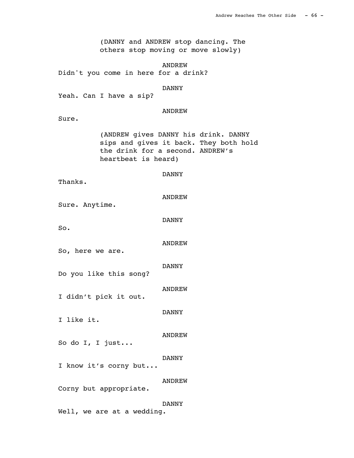(DANNY and ANDREW stop dancing. The others stop moving or move slowly)

ANDREW

Didn't you come in here for a drink?

#### DANNY

Yeah. Can I have a sip?

## ANDREW

Sure.

(ANDREW gives DANNY his drink. DANNY sips and gives it back. They both hold the drink for a second. ANDREW's heartbeat is heard)

#### DANNY

Thanks.

| ANDREW |
|--------|
|        |

Sure. Anytime.

DANNY

So.

#### ANDREW

DANNY

So, here we are.

Do you like this song?

ANDREW

DANNY

I didn't pick it out.

I like it.

 ANDREW So do I, I just...

DANNY

I know it's corny but...

ANDREW

Corny but appropriate.

# DANNY

Well, we are at a wedding.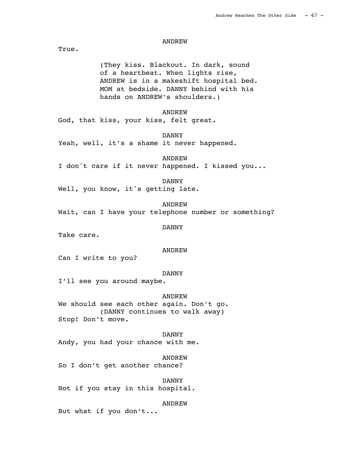True.

(They kiss. Blackout. In dark, sound of a heartbeat. When lights rise, ANDREW is in a makeshift hospital bed. MOM at bedside. DANNY behind with his hands on ANDREW's shoulders.)

## ANDREW

God, that kiss, your kiss, felt great.

DANNY

Yeah, well, it's a shame it never happened.

ANDREW

I don't care if it never happened. I kissed you...

DANNY

Well, you know, it's getting late.

ANDREW

Wait, can I have your telephone number or something?

DANNY

Take care.

#### ANDREW

Can I write to you?

## DANNY

I'll see you around maybe.

## ANDREW

We should see each other again. Don't go. (DANNY continues to walk away) Stop! Don't move.

DANNY

Andy, you had your chance with me.

 ANDREW So I don't get another chance?

 DANNY Not if you stay in this hospital.

## ANDREW

But what if you don't...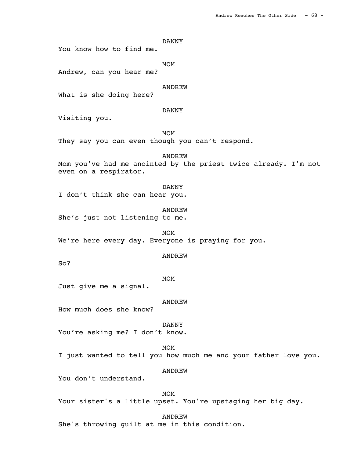# DANNY

You know how to find me.

MOM<sup>N</sup>

Andrew, can you hear me?

# **ANDREW**

What is she doing here?

# DANNY

Visiting you.

MOM<sup>N</sup>

They say you can even though you can't respond.

ANDREW

Mom you've had me anointed by the priest twice already. I'm not even on a respirator.

## DANNY

I don't think she can hear you.

ANDREW

She's just not listening to me.

MOM<sup>N</sup> We're here every day. Everyone is praying for you.

#### ANDREW

So?

# MOM<sup>N</sup>

Just give me a signal.

## ANDREW

How much does she know?

 DANNY You're asking me? I don't know.

MOM<sup>N</sup> I just wanted to tell you how much me and your father love you.

ANDREW

You don't understand.

MOM<sup>N</sup> Your sister's a little upset. You're upstaging her big day.

ANDREW

She's throwing guilt at me in this condition.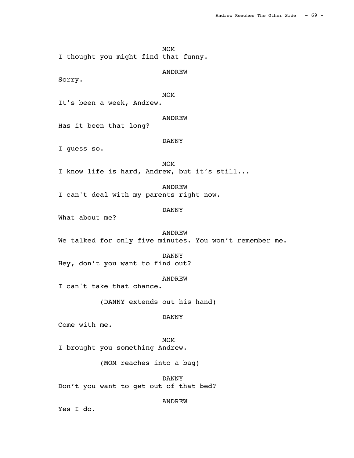MOM<sup>N</sup>

I thought you might find that funny.

ANDREW

Sorry.

MOM<sup>N</sup>

It's been a week, Andrew.

ANDREW

Has it been that long?

DANNY

I guess so.

MOM<sup>N</sup> I know life is hard, Andrew, but it's still...

ANDREW

I can't deal with my parents right now.

# DANNY

What about me?

#### ANDREW

We talked for only five minutes. You won't remember me.

#### DANNY

Hey, don't you want to find out?

#### ANDREW

I can't take that chance.

(DANNY extends out his hand)

# DANNY

Come with me.

MOM<sup>N</sup>

I brought you something Andrew.

(MOM reaches into a bag)

 DANNY Don't you want to get out of that bed?

ANDREW

Yes I do.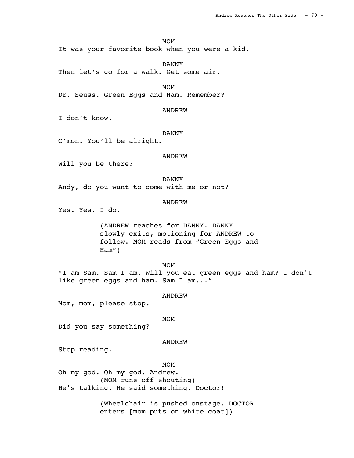# MOM<sup>N</sup>

It was your favorite book when you were a kid.

 DANNY Then let's go for a walk. Get some air.

MOM<sup>N</sup>

Dr. Seuss. Green Eggs and Ham. Remember?

## ANDREW

I don't know.

# DANNY

C'mon. You'll be alright.

### ANDREW

Will you be there?

DANNY

Andy, do you want to come with me or not?

# ANDREW

Yes. Yes. I do.

(ANDREW reaches for DANNY. DANNY slowly exits, motioning for ANDREW to follow. MOM reads from "Green Eggs and Ham")

MOM<sup>N</sup> "I am Sam. Sam I am. Will you eat green eggs and ham? I don't like green eggs and ham. Sam I am..."

### ANDREW

Mom, mom, please stop.

# MOM<sup>N</sup>

Did you say something?

#### ANDREW

Stop reading.

# MOM<sup>N</sup>

Oh my god. Oh my god. Andrew. (MOM runs off shouting) He's talking. He said something. Doctor!

> (Wheelchair is pushed onstage. DOCTOR enters [mom puts on white coat])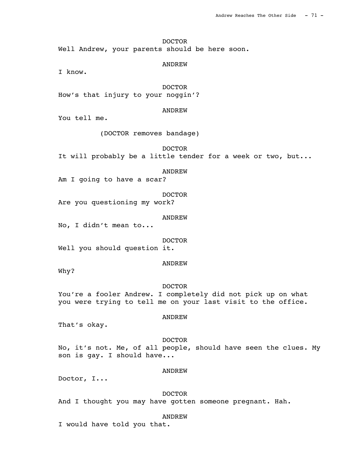DOCTOR Well Andrew, your parents should be here soon.

ANDREW

I know.

 DOCTOR How's that injury to your noggin'?

ANDREW

You tell me.

(DOCTOR removes bandage)

 DOCTOR It will probably be a little tender for a week or two, but...

ANDREW

Am I going to have a scar?

 DOCTOR Are you questioning my work?

ANDREW

No, I didn't mean to...

DOCTOR

Well you should question it.

ANDREW

Why?

### DOCTOR

You're a fooler Andrew. I completely did not pick up on what you were trying to tell me on your last visit to the office.

### ANDREW

That's okay.

## DOCTOR

No, it's not. Me, of all people, should have seen the clues. My son is gay. I should have...

#### ANDREW

Doctor, I...

# DOCTOR

And I thought you may have gotten someone pregnant. Hah.

#### ANDREW

I would have told you that.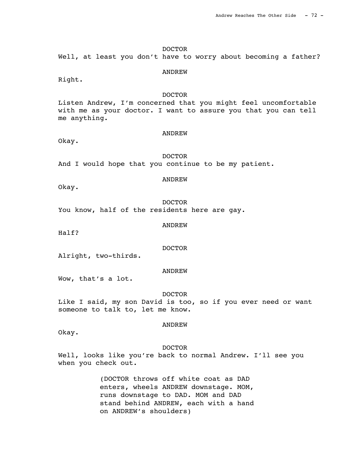## DOCTOR

Well, at least you don't have to worry about becoming a father?

#### ANDREW

Right.

# DOCTOR

Listen Andrew, I'm concerned that you might feel uncomfortable with me as your doctor. I want to assure you that you can tell me anything.

### ANDREW

Okay.

## DOCTOR

And I would hope that you continue to be my patient.

### ANDREW

Okay.

 DOCTOR You know, half of the residents here are gay.

#### ANDREW

Half?

# DOCTOR

Alright, two-thirds.

### ANDREW

Wow, that's a lot.

### DOCTOR

Like I said, my son David is too, so if you ever need or want someone to talk to, let me know.

## ANDREW

Okay.

#### DOCTOR

Well, looks like you're back to normal Andrew. I'll see you when you check out.

> (DOCTOR throws off white coat as DAD enters, wheels ANDREW downstage. MOM, runs downstage to DAD. MOM and DAD stand behind ANDREW, each with a hand on ANDREW's shoulders)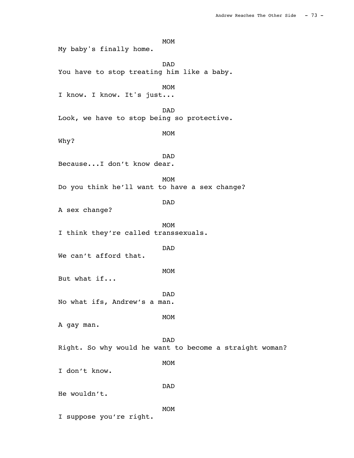MOM<sup>N</sup> DAD You have to stop treating him like a baby. MOM<sup>N</sup> I know. I know. It's just... DAD Look, we have to stop being so protective.

MOM

Why?

 DAD Because...I don't know dear.

My baby's finally home.

MOM<sup>N</sup> Do you think he'll want to have a sex change?

DAD

A sex change?

MOM<sup>N</sup> I think they're called transsexuals.

DAD

We can't afford that.

MOM<sup>N</sup>

But what if...

 DAD No what ifs, Andrew's a man.

MOM<sup>N</sup>

A gay man.

 DAD Right. So why would he want to become a straight woman?

MOM<sup>N</sup>

I don't know.

 DAD He wouldn't.

MOM<sup>N</sup> I suppose you're right.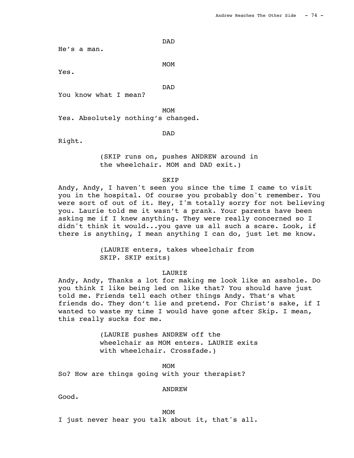He's a man.

MOM<sup>N</sup>

Yes.

DAD

You know what I mean?

DAD

MOM<sup>N</sup>

Yes. Absolutely nothing's changed.

DAD

Right.

(SKIP runs on, pushes ANDREW around in the wheelchair. MOM and DAD exit.)

**SKIP** 

Andy, Andy, I haven't seen you since the time I came to visit you in the hospital. Of course you probably don't remember. You were sort of out of it. Hey, I'm totally sorry for not believing you. Laurie told me it wasn't a prank. Your parents have been asking me if I knew anything. They were really concerned so I didn't think it would...you gave us all such a scare. Look, if there is anything, I mean anything I can do, just let me know.

> (LAURIE enters, takes wheelchair from SKIP. SKIP exits)

### LAURIE

Andy, Andy, Thanks a lot for making me look like an asshole. Do you think I like being led on like that? You should have just told me. Friends tell each other things Andy. That's what friends do. They don't lie and pretend. For Christ's sake, if I wanted to waste my time I would have gone after Skip. I mean, this really sucks for me.

> (LAURIE pushes ANDREW off the wheelchair as MOM enters. LAURIE exits with wheelchair. Crossfade.)

MOM<sup>N</sup> So? How are things going with your therapist?

#### ANDREW

Good.

MOM<sup>N</sup> I just never hear you talk about it, that's all.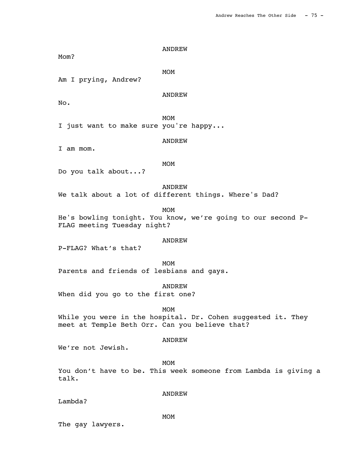Mom?

MOM<sup>N</sup>

Am I prying, Andrew?

ANDREW

No.

MOM<sup>N</sup> I just want to make sure you're happy...

ANDREW

I am mom.

MOM<sup>N</sup>

Do you talk about...?

ANDREW

We talk about a lot of different things. Where's Dad?

MOM<sup>N</sup>

He's bowling tonight. You know, we're going to our second P-FLAG meeting Tuesday night?

#### ANDREW

P-FLAG? What's that?

MOM<sup>N</sup> Parents and friends of lesbians and gays.

ANDREW

When did you go to the first one?

MOM<sup>N</sup>

While you were in the hospital. Dr. Cohen suggested it. They meet at Temple Beth Orr. Can you believe that?

## ANDREW

We're not Jewish.

MOM<sup>N</sup>

You don't have to be. This week someone from Lambda is giving a talk.

Lambda?

ANDREW

The gay lawyers.

MOM<sup>N</sup>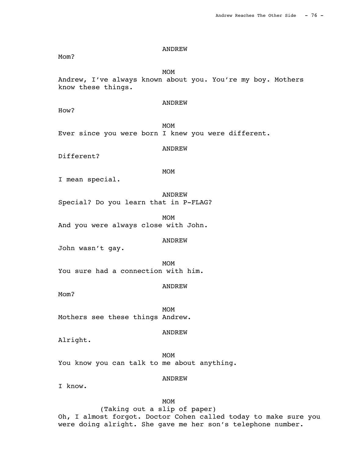Mom?

MOM<sup>N</sup>

Andrew, I've always known about you. You're my boy. Mothers know these things.

# ANDREW

How?

MOM<sup>N</sup> Ever since you were born I knew you were different.

ANDREW

Different?

MOM<sup>N</sup>

I mean special.

 ANDREW Special? Do you learn that in P-FLAG?

MOM<sup>N</sup> And you were always close with John.

#### ANDREW

John wasn't gay.

MOM<sup>N</sup> You sure had a connection with him.

ANDREW

Mom?

MOM<sup>N</sup> Mothers see these things Andrew.

ANDREW

Alright.

MOM<sup>N</sup> You know you can talk to me about anything.

ANDREW

I know.

MOM<sup>N</sup>

(Taking out a slip of paper) Oh, I almost forgot. Doctor Cohen called today to make sure you were doing alright. She gave me her son's telephone number.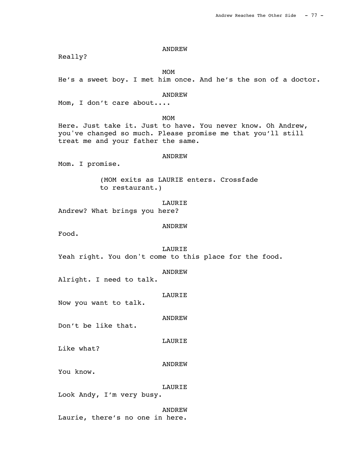Really?

MOM<sup>N</sup>

He's a sweet boy. I met him once. And he's the son of a doctor.

# ANDREW

Mom, I don't care about....

MOM<sup>N</sup> Here. Just take it. Just to have. You never know. Oh Andrew,

you've changed so much. Please promise me that you'll still treat me and your father the same.

ANDREW

Mom. I promise.

(MOM exits as LAURIE enters. Crossfade to restaurant.)

LAURIE

Andrew? What brings you here?

ANDREW

Food.

# LAURIE

Yeah right. You don't come to this place for the food.

ANDREW

Alright. I need to talk.

LAURIE

Now you want to talk.

ANDREW

Don't be like that.

LAURIE

Like what?

ANDREW

You know.

LAURIE

Look Andy, I'm very busy.

 ANDREW Laurie, there's no one in here.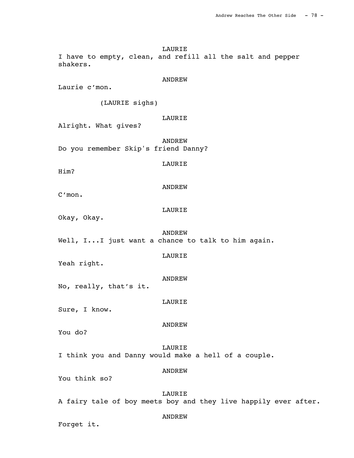LAURIE I have to empty, clean, and refill all the salt and pepper shakers.

#### ANDREW

Laurie c'mon.

(LAURIE sighs)

# LAURIE

Alright. What gives?

 ANDREW Do you remember Skip's friend Danny?

### LAURIE

ANDREW

Him?

C'mon.

# LAURIE

Okay, Okay.

Yeah right.

 ANDREW Well, I...I just want a chance to talk to him again.

ANDREW

LAURIE

No, really, that's it.

# LAURIE

Sure, I know.

ANDREW

You do?

 LAURIE I think you and Danny would make a hell of a couple.

ANDREW

You think so?

 LAURIE A fairy tale of boy meets boy and they live happily ever after.

#### ANDREW

Forget it.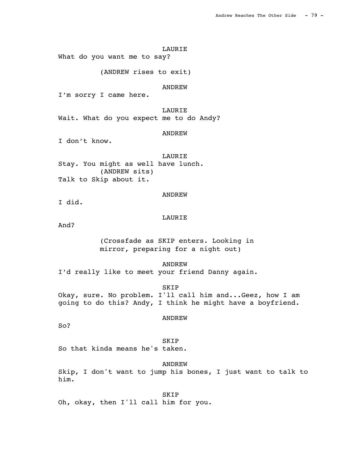#### LAURIE

What do you want me to say?

(ANDREW rises to exit)

# **ANDREW**

I'm sorry I came here.

#### LAURIE

Wait. What do you expect me to do Andy?

# ANDREW

I don't know.

### LAURIE

Stay. You might as well have lunch. (ANDREW sits) Talk to Skip about it.

### ANDREW

I did.

# LAURIE

And?

(Crossfade as SKIP enters. Looking in mirror, preparing for a night out)

#### ANDREW

I'd really like to meet your friend Danny again.

### SKIP

Okay, sure. No problem. I'll call him and...Geez, how I am going to do this? Andy, I think he might have a boyfriend.

# ANDREW

So?

 SKIP So that kinda means he's taken.

 ANDREW Skip, I don't want to jump his bones, I just want to talk to him.

 SKIP Oh, okay, then I'll call him for you.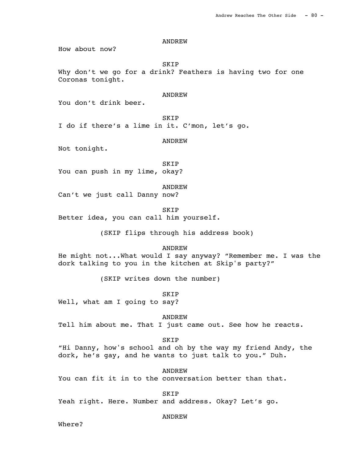How about now?

SKIP

Why don't we go for a drink? Feathers is having two for one Coronas tonight.

## ANDREW

You don't drink beer.

 SKIP I do if there's a lime in it. C'mon, let's go.

#### ANDREW

Not tonight.

 SKIP You can push in my lime, okay?

#### ANDREW

Can't we just call Danny now?

SKIP

Better idea, you can call him yourself.

(SKIP flips through his address book)

### ANDREW

He might not...What would I say anyway? "Remember me. I was the dork talking to you in the kitchen at Skip's party?"

(SKIP writes down the number)

SKIP

Well, what am I going to say?

ANDREW

Tell him about me. That I just came out. See how he reacts.

#### SKIP

"Hi Danny, how's school and oh by the way my friend Andy, the dork, he's gay, and he wants to just talk to you." Duh.

ANDREW

You can fit it in to the conversation better than that.

SKIP

Yeah right. Here. Number and address. Okay? Let's go.

### ANDREW

Where?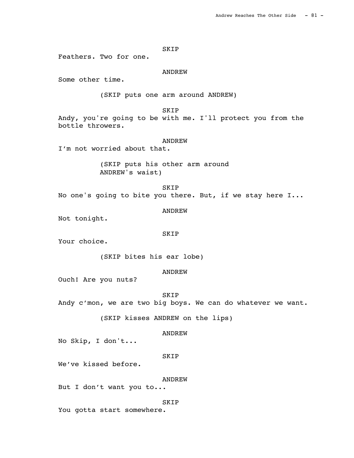### SKIP

Feathers. Two for one.

### ANDREW

Some other time.

(SKIP puts one arm around ANDREW)

# SKIP

Andy, you're going to be with me. I'll protect you from the bottle throwers.

#### ANDREW

I'm not worried about that.

(SKIP puts his other arm around ANDREW's waist)

 SKIP No one's going to bite you there. But, if we stay here I...

ANDREW

Not tonight.

#### SKIP

Your choice.

(SKIP bites his ear lobe)

### ANDREW

Ouch! Are you nuts?

**SKIP** 

Andy c'mon, we are two big boys. We can do whatever we want.

(SKIP kisses ANDREW on the lips)

#### ANDREW

No Skip, I don't...

## SKIP

We've kissed before.

#### ANDREW

```
But I don't want you to...
```
## **SKIP**

You gotta start somewhere.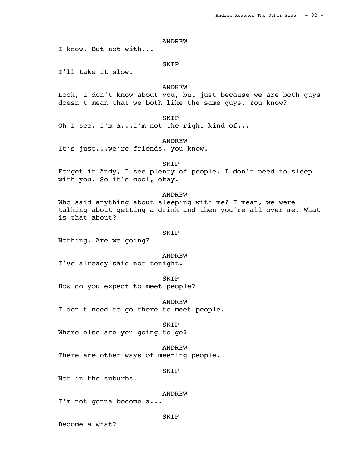I know. But not with...

### SKIP

I'll take it slow.

# **ANDREW**

Look, I don't know about you, but just because we are both guys doesn't mean that we both like the same guys. You know?

SKIP

Oh I see. I'm a...I'm not the right kind of...

ANDREW

It's just...we're friends, you know.

 SKIP Forget it Andy, I see plenty of people. I don't need to sleep with you. So it's cool, okay.

### ANDREW

Who said anything about sleeping with me? I mean, we were talking about getting a drink and then you're all over me. What is that about?

#### SKIP

Nothing. Are we going?

ANDREW

I've already said not tonight.

 SKIP How do you expect to meet people?

 ANDREW I don't need to go there to meet people.

 SKIP Where else are you going to go?

 ANDREW There are other ways of meeting people.

SKIP

Not in the suburbs.

ANDREW

I'm not gonna become a...

SKIP

Become a what?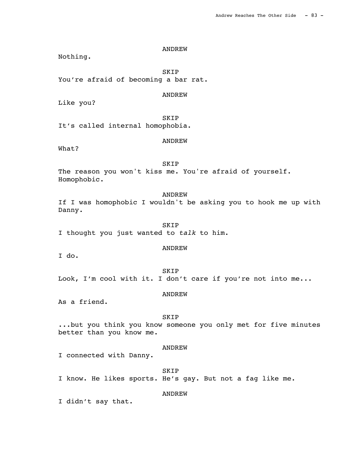Nothing.

 SKIP You're afraid of becoming a bar rat.

# ANDREW

Like you?

 SKIP It's called internal homophobia.

# ANDREW

What?

 SKIP The reason you won't kiss me. You're afraid of yourself. Homophobic.

 ANDREW If I was homophobic I wouldn't be asking you to hook me up with Danny.

 SKIP I thought you just wanted to talk to him.

# ANDREW

I do.

 SKIP Look, I'm cool with it. I don't care if you're not into me...

#### ANDREW

As a friend.

#### SKIP

...but you think you know someone you only met for five minutes better than you know me.

# ANDREW

I connected with Danny.

SKIP

I know. He likes sports. He's gay. But not a fag like me.

### ANDREW

I didn't say that.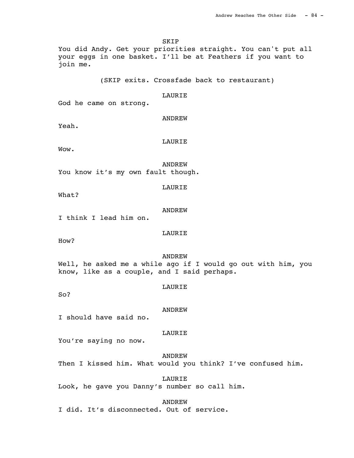SKIP You did Andy. Get your priorities straight. You can't put all your eggs in one basket. I'll be at Feathers if you want to join me. (SKIP exits. Crossfade back to restaurant) LAURIE God he came on strong. ANDREW Yeah. LAURIE Wow. ANDREW You know it's my own fault though. LAURIE What? ANDREW I think I lead him on. LAURIE How? ANDREW Well, he asked me a while ago if I would go out with him, you know, like as a couple, and I said perhaps. LAURIE So? ANDREW I should have said no. LAURIE You're saying no now. ANDREW Then I kissed him. What would you think? I've confused him. LAURIE

Look, he gave you Danny's number so call him.

 ANDREW I did. It's disconnected. Out of service.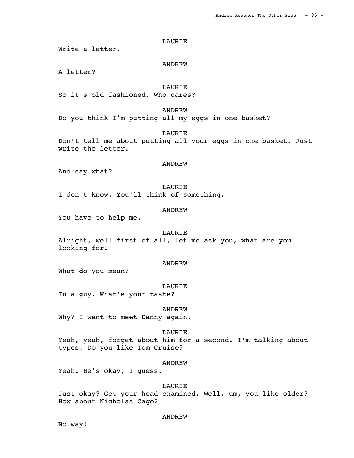### LAURIE

Write a letter.

#### ANDREW

A letter?

# **LAURIE**

So it's old fashioned. Who cares?

## ANDREW

Do you think I'm putting all my eggs in one basket?

LAURIE

Don't tell me about putting all your eggs in one basket. Just write the letter.

### ANDREW

And say what?

#### LAURIE

I don't know. You'll think of something.

# ANDREW

You have to help me.

#### LAURIE

Alright, well first of all, let me ask you, what are you looking for?

### ANDREW

What do you mean?

### LAURIE

In a guy. What's your taste?

ANDREW

Why? I want to meet Danny again.

#### LAURIE

Yeah, yeah, forget about him for a second. I'm talking about types. Do you like Tom Cruise?

#### ANDREW

Yeah. He's okay, I guess.

#### LAURIE

Just okay? Get your head examined. Well, um, you like older? How about Nicholas Cage?

## ANDREW

No way!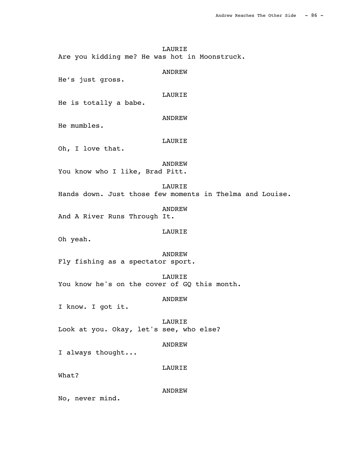LAURIE Are you kidding me? He was hot in Moonstruck.

 ANDREW He's just gross. LAURIE He is totally a babe. ANDREW He mumbles. LAURIE Oh, I love that. ANDREW You know who I like, Brad Pitt. LAURIE Hands down. Just those few moments in Thelma and Louise. ANDREW And A River Runs Through It. LAURIE Oh yeah. ANDREW Fly fishing as a spectator sport. LAURIE You know he's on the cover of GQ this month. ANDREW I know. I got it. **LAURIE** Look at you. Okay, let's see, who else? ANDREW I always thought... LAURIE

What?

ANDREW

No, never mind.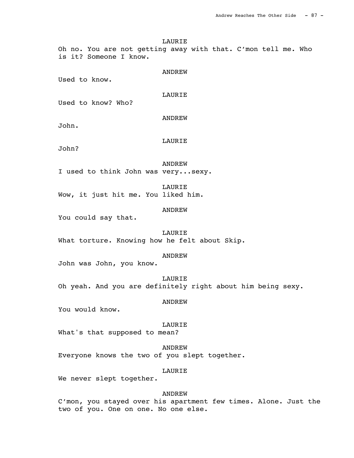LAURIE Oh no. You are not getting away with that. C'mon tell me. Who is it? Someone I know. ANDREW Used to know. LAURIE Used to know? Who? ANDREW John. LAURIE John? ANDREW I used to think John was very...sexy. LAURIE Wow, it just hit me. You liked him. ANDREW You could say that. LAURIE What torture. Knowing how he felt about Skip. ANDREW John was John, you know. LAURIE Oh yeah. And you are definitely right about him being sexy. ANDREW You would know. LAURIE What's that supposed to mean? ANDREW Everyone knows the two of you slept together.

LAURIE

We never slept together.

### ANDREW

C'mon, you stayed over his apartment few times. Alone. Just the two of you. One on one. No one else.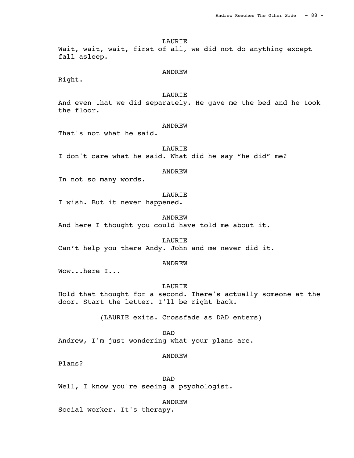LAURIE

Wait, wait, wait, first of all, we did not do anything except fall asleep.

#### ANDREW

Right.

# LAURIE

And even that we did separately. He gave me the bed and he took the floor.

### **ANDREW**

That's not what he said.

### LAURIE

I don't care what he said. What did he say "he did" me?

# ANDREW

In not so many words.

# LAURIE

I wish. But it never happened.

#### ANDREW

And here I thought you could have told me about it.

## LAURIE

Can't help you there Andy. John and me never did it.

### ANDREW

Wow...here I...

### LAURIE

Hold that thought for a second. There's actually someone at the door. Start the letter. I'll be right back.

(LAURIE exits. Crossfade as DAD enters)

DAD

Andrew, I'm just wondering what your plans are.

### ANDREW

Plans?

DAD

Well, I know you're seeing a psychologist.

ANDREW

Social worker. It's therapy.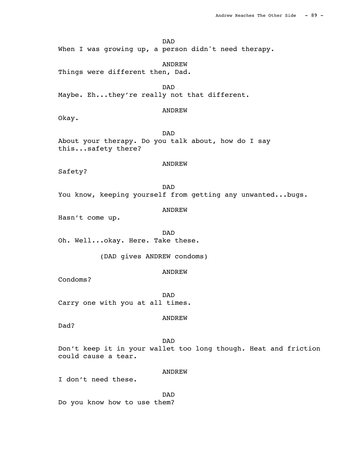# DAD

When I was growing up, a person didn't need therapy.

ANDREW

Things were different then, Dad.

DAD

Maybe. Eh...they're really not that different.

# ANDREW

Okay.

 DAD About your therapy. Do you talk about, how do I say this...safety there?

### ANDREW

Safety?

 DAD You know, keeping yourself from getting any unwanted...bugs.

ANDREW

Hasn't come up.

 DAD Oh. Well...okay. Here. Take these.

(DAD gives ANDREW condoms)

### ANDREW

Condoms?

 DAD Carry one with you at all times.

# ANDREW

Dad?

 DAD Don't keep it in your wallet too long though. Heat and friction could cause a tear.

# ANDREW

I don't need these.

 DAD Do you know how to use them?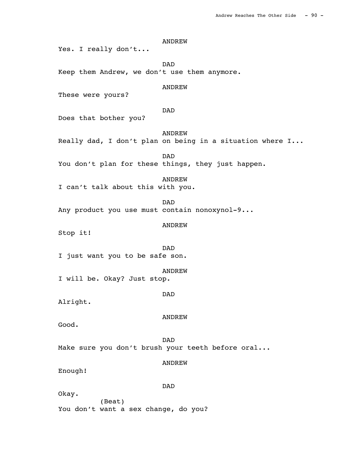ANDREW Yes. I really don't... DAD Keep them Andrew, we don't use them anymore. **ANDREW** These were yours? DAD Does that bother you? ANDREW Really dad, I don't plan on being in a situation where I... DAD You don't plan for these things, they just happen. ANDREW I can't talk about this with you. DAD Any product you use must contain nonoxynol-9... ANDREW Stop it! DAD I just want you to be safe son. ANDREW I will be. Okay? Just stop. DAD Alright. ANDREW Good. DAD Make sure you don't brush your teeth before oral... ANDREW Enough! DAD Okay. (Beat) You don't want a sex change, do you?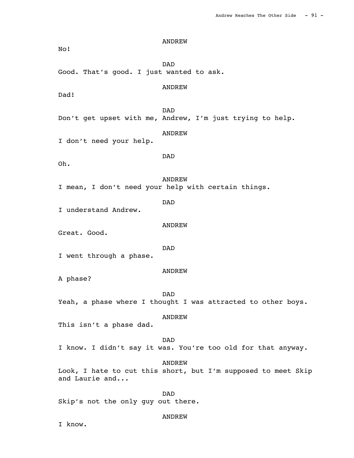ANDREW No! DAD Good. That's good. I just wanted to ask. ANDREW Dad! DAD Don't get upset with me, Andrew, I'm just trying to help. ANDREW I don't need your help. DAD Oh. ANDREW I mean, I don't need your help with certain things. DAD I understand Andrew. ANDREW Great. Good. DAD I went through a phase. ANDREW A phase? DAD Yeah, a phase where I thought I was attracted to other boys. ANDREW This isn't a phase dad. DAD I know. I didn't say it was. You're too old for that anyway. ANDREW Look, I hate to cut this short, but I'm supposed to meet Skip and Laurie and... DAD Skip's not the only guy out there.

#### ANDREW

I know.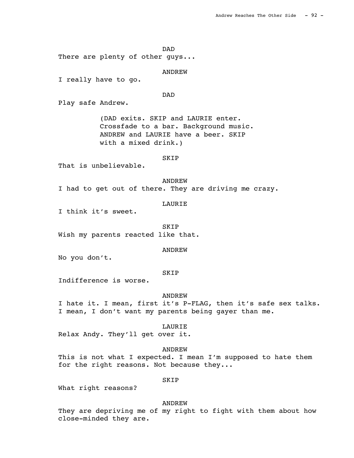DAD There are plenty of other guys... ANDREW I really have to go. DAD Play safe Andrew. (DAD exits. SKIP and LAURIE enter. Crossfade to a bar. Background music. ANDREW and LAURIE have a beer. SKIP with a mixed drink.) SKIP That is unbelievable. ANDREW I had to get out of there. They are driving me crazy. LAURIE I think it's sweet. SKIP Wish my parents reacted like that. ANDREW No you don't. SKIP Indifference is worse. ANDREW I hate it. I mean, first it's P-FLAG, then it's safe sex talks. I mean, I don't want my parents being gayer than me. LAURIE Relax Andy. They'll get over it. ANDREW This is not what I expected. I mean I'm supposed to hate them for the right reasons. Not because they...

# SKIP

What right reasons?

#### ANDREW

They are depriving me of my right to fight with them about how close-minded they are.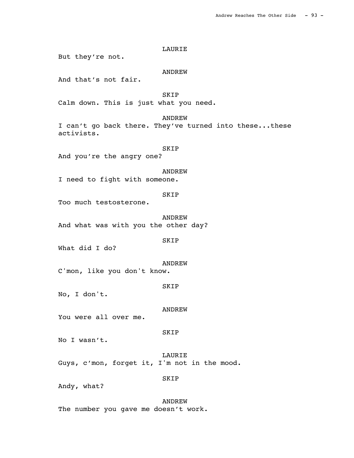LAURIE But they're not. ANDREW And that's not fair. SKIP Calm down. This is just what you need. ANDREW I can't go back there. They've turned into these...these activists. SKIP And you're the angry one? ANDREW I need to fight with someone. SKIP Too much testosterone. ANDREW And what was with you the other day? SKIP What did I do? ANDREW C'mon, like you don't know. SKIP No, I don't. ANDREW You were all over me. SKIP No I wasn't. LAURIE Guys, c'mon, forget it, I'm not in the mood. SKIP Andy, what? ANDREW

The number you gave me doesn't work.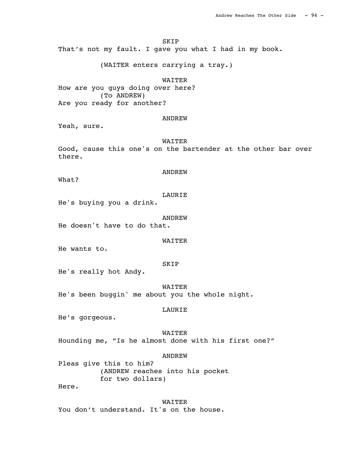SKIP

That's not my fault. I gave you what I had in my book.

(WAITER enters carrying a tray.)

# WAITER

How are you guys doing over here? (To ANDREW) Are you ready for another?

### ANDREW

Yeah, sure.

#### WAITER

Good, cause this one's on the bartender at the other bar over there.

What?

#### LAURIE

ANDREW

He's buying you a drink.

#### ANDREW

He doesn't have to do that.

#### WAITER

He wants to.

#### SKIP

He's really hot Andy.

 WAITER He's been buggin' me about you the whole night.

#### LAURIE

He's gorgeous.

### WAITER

Hounding me, "Is he almost done with his first one?"

#### ANDREW

Pleas give this to him? (ANDREW reaches into his pocket for two dollars)

Here.

 WAITER You don't understand. It's on the house.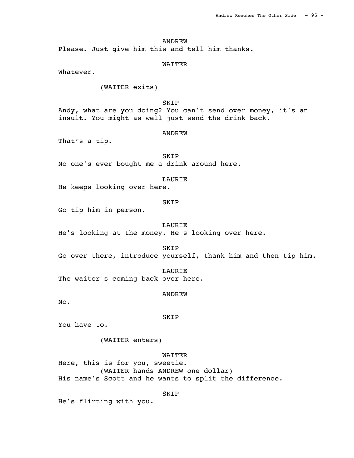Please. Just give him this and tell him thanks.

### WAITER

Whatever.

# (WAITER exits)

## SKIP

Andy, what are you doing? You can't send over money, it's an insult. You might as well just send the drink back.

# ANDREW

That's a tip.

 SKIP No one's ever bought me a drink around here.

#### LAURIE

He keeps looking over here.

# SKIP

Go tip him in person.

LAURIE

He's looking at the money. He's looking over here.

SKIP

Go over there, introduce yourself, thank him and then tip him.

LAURIE

The waiter's coming back over here.

#### ANDREW

No.

#### SKIP

You have to.

(WAITER enters)

### WAITER

Here, this is for you, sweetie.

(WAITER hands ANDREW one dollar) His name's Scott and he wants to split the difference.

# SKIP

He's flirting with you.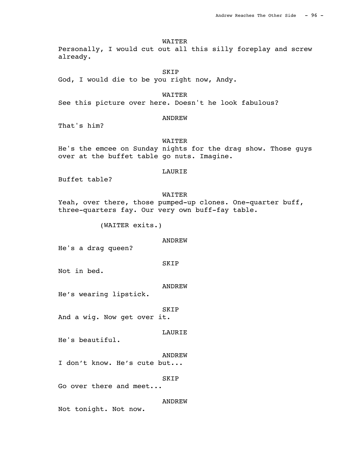WAITER

Personally, I would cut out all this silly foreplay and screw already.

 SKIP God, I would die to be you right now, Andy.

WAITER

See this picture over here. Doesn't he look fabulous?

# ANDREW

That's him?

### WAITER

He's the emcee on Sunday nights for the drag show. Those guys over at the buffet table go nuts. Imagine.

# LAURIE

Buffet table?

# WAITER

Yeah, over there, those pumped-up clones. One-quarter buff, three-quarters fay. Our very own buff-fay table.

(WAITER exits.)

## ANDREW

He's a drag queen?

#### SKIP

Not in bed.

### ANDREW

He's wearing lipstick.

#### SKIP

And a wig. Now get over it.

#### LAURIE

He's beautiful.

#### ANDREW

I don't know. He's cute but...

### SKIP

Go over there and meet...

### ANDREW

Not tonight. Not now.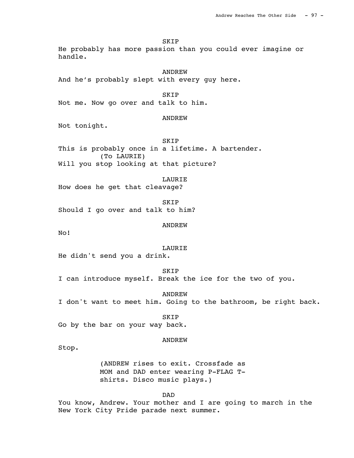SKIP

He probably has more passion than you could ever imagine or handle.

 ANDREW And he's probably slept with every guy here.

 SKIP Not me. Now go over and talk to him.

ANDREW

Not tonight.

**SKIP** This is probably once in a lifetime. A bartender. (To LAURIE) Will you stop looking at that picture?

LAURIE

How does he get that cleavage?

 SKIP Should I go over and talk to him?

ANDREW

No!

LAURIE

He didn't send you a drink.

SKIP

I can introduce myself. Break the ice for the two of you.

 ANDREW I don't want to meet him. Going to the bathroom, be right back.

 SKIP Go by the bar on your way back.

### ANDREW

Stop.

(ANDREW rises to exit. Crossfade as MOM and DAD enter wearing P-FLAG Tshirts. Disco music plays.)

DAD

You know, Andrew. Your mother and I are going to march in the New York City Pride parade next summer.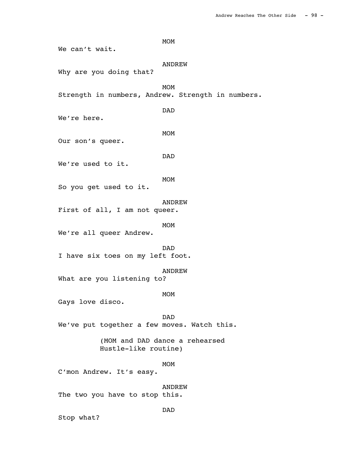MOM<sup>N</sup> We can't wait. ANDREW Why are you doing that? MOM<sup>N</sup> Strength in numbers, Andrew. Strength in numbers. DAD We're here. MOM Our son's queer. DAD We're used to it. MOM<sup>N</sup> So you get used to it. ANDREW First of all, I am not queer. MOM<sup>N</sup> We're all queer Andrew. DAD I have six toes on my left foot. ANDREW What are you listening to? MOM<sup>N</sup> Gays love disco. DAD We've put together a few moves. Watch this. (MOM and DAD dance a rehearsed Hustle-like routine) MOM<sup>N</sup> C'mon Andrew. It's easy. ANDREW The two you have to stop this. DAD

Stop what?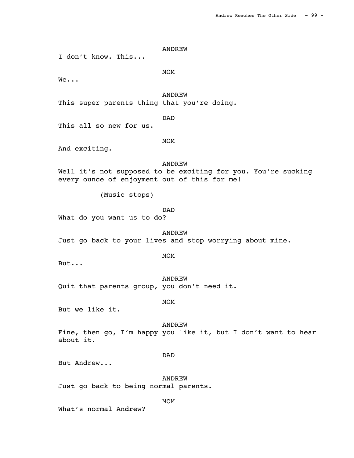I don't know. This...

MOM<sup>N</sup>

We...

 ANDREW This super parents thing that you're doing.

DAD

This all so new for us.

MOM<sup>N</sup>

And exciting.

ANDREW

Well it's not supposed to be exciting for you. You're sucking every ounce of enjoyment out of this for me!

(Music stops)

DAD

What do you want us to do?

 ANDREW Just go back to your lives and stop worrying about mine.

But...

MOM<sup>N</sup>

 ANDREW Quit that parents group, you don't need it.

MOM<sup>N</sup>

But we like it.

 ANDREW Fine, then go, I'm happy you like it, but I don't want to hear about it.

# DAD

But Andrew...

 ANDREW Just go back to being normal parents.

MOM<sup>N</sup>

What's normal Andrew?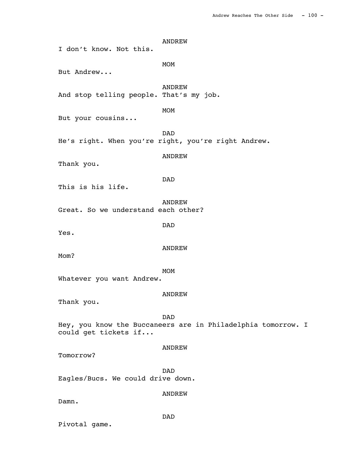ANDREW I don't know. Not this. MOM<sup>N</sup> But Andrew... ANDREW And stop telling people. That's my job. MOM<sup>N</sup> But your cousins... DAD He's right. When you're right, you're right Andrew. ANDREW Thank you. DAD This is his life. ANDREW Great. So we understand each other? DAD Yes. ANDREW Mom? MOM<sup>N</sup> Whatever you want Andrew. ANDREW Thank you. DAD Hey, you know the Buccaneers are in Philadelphia tomorrow. I could get tickets if... ANDREW Tomorrow? DAD Eagles/Bucs. We could drive down. ANDREW

Damn.

DAD

Pivotal game.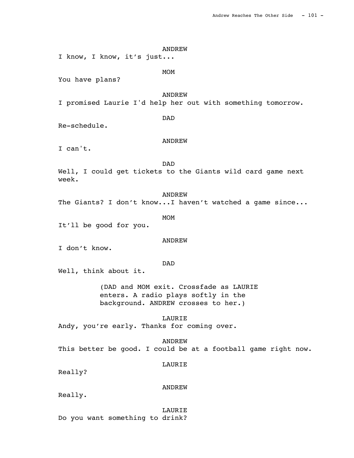ANDREW I know, I know, it's just... MOM<sup>N</sup> You have plans? ANDREW I promised Laurie I'd help her out with something tomorrow. DAD Re-schedule. ANDREW I can't. DAD Well, I could get tickets to the Giants wild card game next week. ANDREW The Giants? I don't know...I haven't watched a game since... MOM<sup>N</sup> It'll be good for you. ANDREW I don't know. DAD Well, think about it. (DAD and MOM exit. Crossfade as LAURIE enters. A radio plays softly in the background. ANDREW crosses to her.) LAURIE Andy, you're early. Thanks for coming over. ANDREW This better be good. I could be at a football game right now. LAURIE Really? ANDREW Really. LAURIE

Do you want something to drink?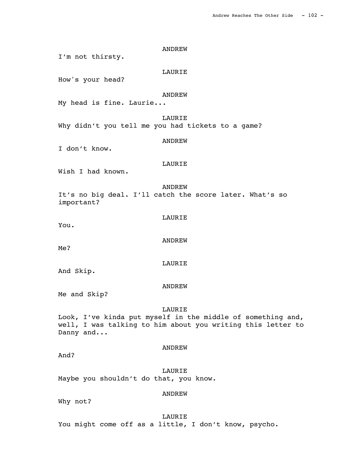ANDREW I'm not thirsty. LAURIE How's your head? ANDREW My head is fine. Laurie... LAURIE Why didn't you tell me you had tickets to a game? ANDREW I don't know. LAURIE Wish I had known. ANDREW It's no big deal. I'll catch the score later. What's so important? LAURIE You. ANDREW Me? LAURIE And Skip. ANDREW Me and Skip? LAURIE Look, I've kinda put myself in the middle of something and, well, I was talking to him about you writing this letter to Danny and... ANDREW And? LAURIE Maybe you shouldn't do that, you know. ANDREW Why not?

LAURIE

You might come off as a little, I don't know, psycho.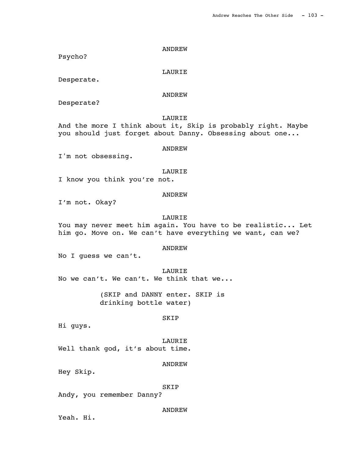Psycho?

LAURIE

Desperate.

# ANDREW

Desperate?

 LAURIE And the more I think about it, Skip is probably right. Maybe you should just forget about Danny. Obsessing about one...

#### ANDREW

I'm not obsessing.

### LAURIE

I know you think you're not.

## ANDREW

I'm not. Okay?

#### LAURIE

You may never meet him again. You have to be realistic... Let him go. Move on. We can't have everything we want, can we?

# ANDREW

No I guess we can't.

#### LAURIE

No we can't. We can't. We think that we...

(SKIP and DANNY enter. SKIP is drinking bottle water)

#### SKIP

Hi guys.

 LAURIE Well thank god, it's about time.

# ANDREW

Hey Skip.

#### SKIP

Andy, you remember Danny?

### ANDREW

Yeah. Hi.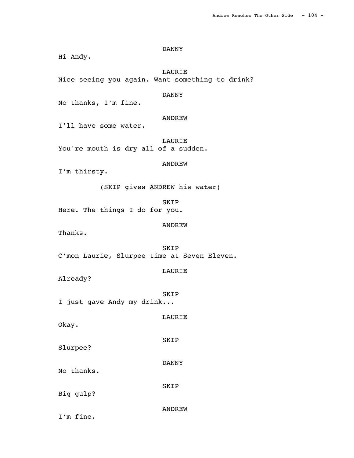Hi Andy. LAURIE Nice seeing you again. Want something to drink? DANNY No thanks, I'm fine. ANDREW I'll have some water. LAURIE You're mouth is dry all of a sudden. ANDREW I'm thirsty. (SKIP gives ANDREW his water) SKIP Here. The things I do for you. ANDREW Thanks. SKIP C'mon Laurie, Slurpee time at Seven Eleven. LAURIE Already? SKIP I just gave Andy my drink... LAURIE Okay. SKIP Slurpee? DANNY No thanks. SKIP Big gulp? ANDREW

DANNY

I'm fine.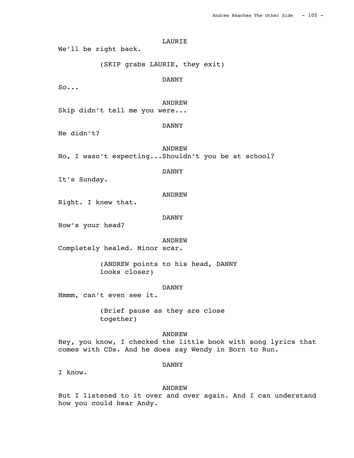LAURIE We'll be right back. (SKIP grabs LAURIE, they exit) DANNY So... ANDREW Skip didn't tell me you were... DANNY He didn't? ANDREW No, I wasn't expecting...Shouldn't you be at school? DANNY It's Sunday. ANDREW Right. I knew that. DANNY How's your head? ANDREW Completely healed. Minor scar. (ANDREW points to his head, DANNY looks closer) DANNY Hmmm, can't even see it. (Brief pause as they are close together)

## ANDREW

Hey, you know, I checked the little book with song lyrics that comes with CDs. And he does say Wendy in Born to Run.

#### DANNY

I know.

#### ANDREW

But I listened to it over and over again. And I can understand how you could hear Andy.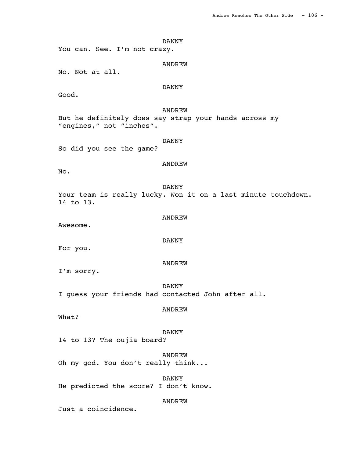DANNY You can. See. I'm not crazy. ANDREW No. Not at all. DANNY Good. ANDREW But he definitely does say strap your hands across my "engines," not "inches". DANNY So did you see the game? ANDREW No. DANNY Your team is really lucky. Won it on a last minute touchdown. 14 to 13. ANDREW Awesome. DANNY For you. ANDREW I'm sorry. DANNY I guess your friends had contacted John after all. ANDREW What? DANNY 14 to 13? The oujia board? ANDREW Oh my god. You don't really think... DANNY He predicted the score? I don't know.

ANDREW

Just a coincidence.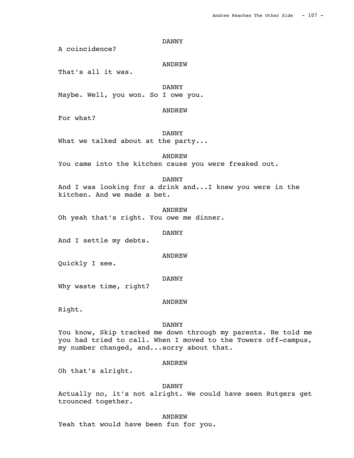### DANNY

A coincidence?

### ANDREW

That's all it was.

DANNY

Maybe. Well, you won. So I owe you.

### ANDREW

For what?

## DANNY

What we talked about at the party...

ANDREW

You came into the kitchen cause you were freaked out.

### DANNY

And I was looking for a drink and...I knew you were in the kitchen. And we made a bet.

 ANDREW Oh yeah that's right. You owe me dinner.

#### DANNY

And I settle my debts.

#### ANDREW

Quickly I see.

#### DANNY

Why waste time, right?

### ANDREW

Right.

# DANNY

You know, Skip tracked me down through my parents. He told me you had tried to call. When I moved to the Towers off-campus, my number changed, and...sorry about that.

### ANDREW

Oh that's alright.

#### DANNY

Actually no, it's not alright. We could have seen Rutgers get trounced together.

 ANDREW Yeah that would have been fun for you.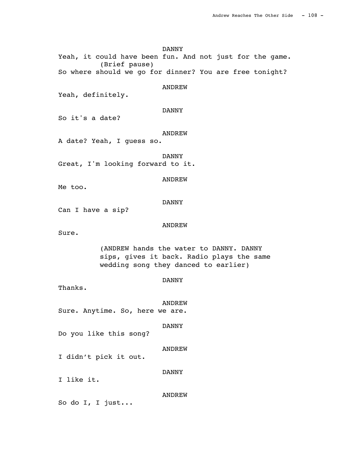DANNY Yeah, it could have been fun. And not just for the game. (Brief pause) So where should we go for dinner? You are free tonight? **ANDREW** Yeah, definitely. DANNY So it's a date? ANDREW A date? Yeah, I guess so. DANNY Great, I'm looking forward to it. ANDREW Me too. DANNY Can I have a sip? ANDREW Sure. (ANDREW hands the water to DANNY. DANNY sips, gives it back. Radio plays the same wedding song they danced to earlier) DANNY Thanks. ANDREW Sure. Anytime. So, here we are. DANNY Do you like this song? ANDREW I didn't pick it out. DANNY I like it. ANDREW So do I, I just...